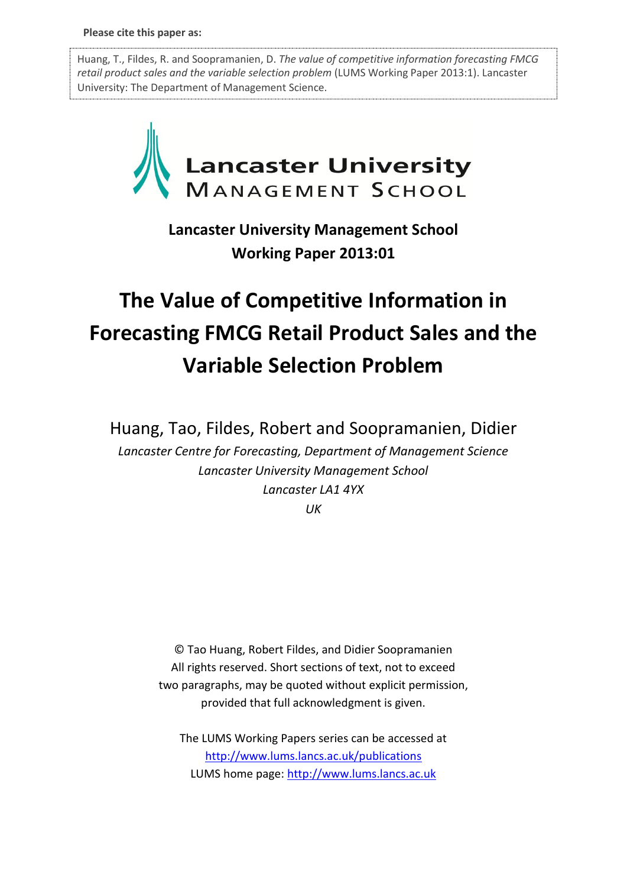Huang, T., Fildes, R. and Soopramanien, D. *The value of competitive information forecasting FMCG retail product sales and the variable selection problem* (LUMS Working Paper 2013:1). Lancaster University: The Department of Management Science.



**Lancaster University Management School Working Paper 2013:01**

# **The Value of Competitive Information in Forecasting FMCG Retail Product Sales and the Variable Selection Problem**

Huang, Tao, Fildes, Robert and Soopramanien, Didier

*Lancaster Centre for Forecasting, Department of Management Science Lancaster University Management School Lancaster LA1 4YX*

*UK*

© Tao Huang, Robert Fildes, and Didier Soopramanien All rights reserved. Short sections of text, not to exceed two paragraphs, may be quoted without explicit permission, provided that full acknowledgment is given.

The LUMS Working Papers series can be accessed at <http://www.lums.lancs.ac.uk/publications> LUMS home page: [http://www.lums.lancs.ac.uk](http://www.lums.lancs.ac.uk/)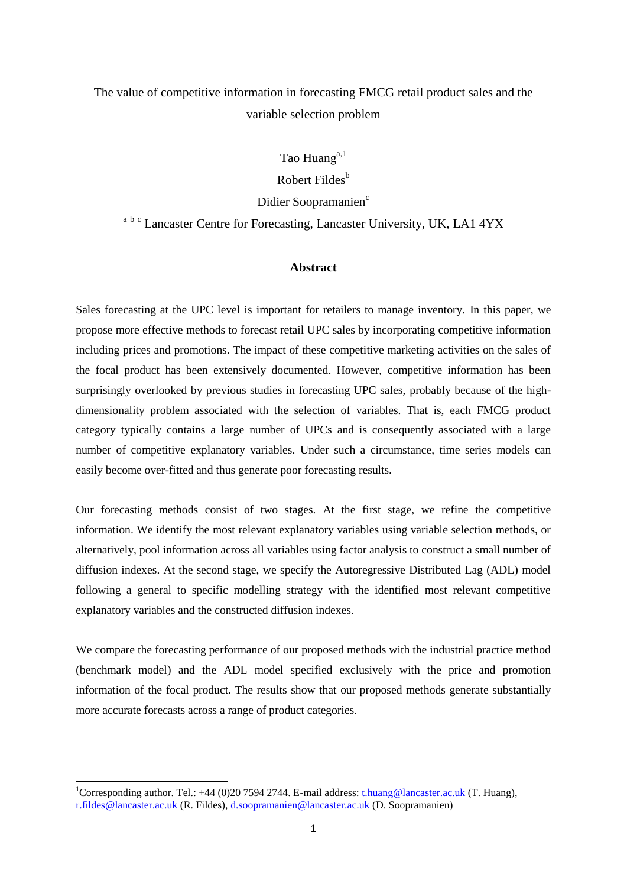# The value of competitive information in forecasting FMCG retail product sales and the variable selection problem

Tao Huang $a,1$ 

Robert Fildes $<sup>b</sup>$ </sup>

Didier Soopramanien<sup>c</sup>

<sup>a b c</sup> Lancaster Centre for Forecasting, Lancaster University, UK, LA1 4YX

#### **Abstract**

Sales forecasting at the UPC level is important for retailers to manage inventory. In this paper, we propose more effective methods to forecast retail UPC sales by incorporating competitive information including prices and promotions. The impact of these competitive marketing activities on the sales of the focal product has been extensively documented. However, competitive information has been surprisingly overlooked by previous studies in forecasting UPC sales, probably because of the highdimensionality problem associated with the selection of variables. That is, each FMCG product category typically contains a large number of UPCs and is consequently associated with a large number of competitive explanatory variables. Under such a circumstance, time series models can easily become over-fitted and thus generate poor forecasting results.

Our forecasting methods consist of two stages. At the first stage, we refine the competitive information. We identify the most relevant explanatory variables using variable selection methods, or alternatively, pool information across all variables using factor analysis to construct a small number of diffusion indexes. At the second stage, we specify the Autoregressive Distributed Lag (ADL) model following a general to specific modelling strategy with the identified most relevant competitive explanatory variables and the constructed diffusion indexes.

We compare the forecasting performance of our proposed methods with the industrial practice method (benchmark model) and the ADL model specified exclusively with the price and promotion information of the focal product. The results show that our proposed methods generate substantially more accurate forecasts across a range of product categories.

**.** 

<sup>&</sup>lt;sup>1</sup>Corresponding author. Tel.:  $+44$  (0)20 7594 2744. E-mail address[: t.huang@lancaster.ac.uk](mailto:t.huang@lancaster.ac.uk) (T. Huang), [r.fildes@lancaster.ac.uk](mailto:r.fildes@lancaster.ac.uk) (R. Fildes), [d.soopramanien@lancaster.ac.uk](mailto:d.soopramanien@lancaster.ac.uk) (D. Soopramanien)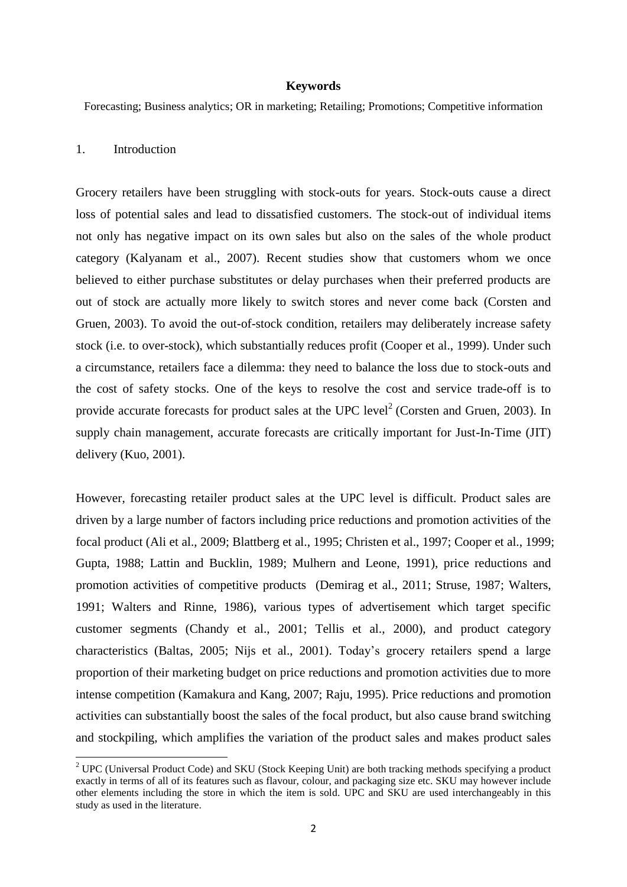#### **Keywords**

Forecasting; Business analytics; OR in marketing; Retailing; Promotions; Competitive information

# 1. Introduction

**.** 

Grocery retailers have been struggling with stock-outs for years. Stock-outs cause a direct loss of potential sales and lead to dissatisfied customers. The stock-out of individual items not only has negative impact on its own sales but also on the sales of the whole product category [\(Kalyanam et al., 2007\)](#page-30-0). Recent studies show that customers whom we once believed to either purchase substitutes or delay purchases when their preferred products are out of stock are actually more likely to switch stores and never come back [\(Corsten and](#page-29-0)  [Gruen, 2003\)](#page-29-0). To avoid the out-of-stock condition, retailers may deliberately increase safety stock (i.e. to over-stock), which substantially reduces profit [\(Cooper et al., 1999\)](#page-29-1). Under such a circumstance, retailers face a dilemma: they need to balance the loss due to stock-outs and the cost of safety stocks. One of the keys to resolve the cost and service trade-off is to provide accurate forecasts for product sales at the UPC level<sup>2</sup> [\(Corsten and Gruen, 2003\)](#page-29-0). In supply chain management, accurate forecasts are critically important for Just-In-Time (JIT) delivery [\(Kuo, 2001\)](#page-30-1).

However, forecasting retailer product sales at the UPC level is difficult. Product sales are driven by a large number of factors including price reductions and promotion activities of the focal product [\(Ali et al., 2009;](#page-28-0) [Blattberg et al., 1995;](#page-28-1) [Christen et al., 1997;](#page-28-2) [Cooper et al., 1999;](#page-29-1) [Gupta, 1988;](#page-30-2) [Lattin and Bucklin, 1989;](#page-30-3) [Mulhern and Leone, 1991\)](#page-30-4), price reductions and promotion activities of competitive products [\(Demirag et al., 2011;](#page-29-2) [Struse, 1987;](#page-31-0) [Walters,](#page-31-1)  [1991;](#page-31-1) [Walters and Rinne, 1986\)](#page-31-2), various types of advertisement which target specific customer segments [\(Chandy et al., 2001;](#page-28-3) [Tellis et al., 2000\)](#page-31-3), and product category characteristics [\(Baltas, 2005;](#page-28-4) [Nijs et al., 2001\)](#page-30-5). Today's grocery retailers spend a large proportion of their marketing budget on price reductions and promotion activities due to more intense competition [\(Kamakura and Kang, 2007;](#page-30-6) [Raju, 1995\)](#page-30-7). Price reductions and promotion activities can substantially boost the sales of the focal product, but also cause brand switching and stockpiling, which amplifies the variation of the product sales and makes product sales

 $2^2$  UPC (Universal Product Code) and SKU (Stock Keeping Unit) are both tracking methods specifying a product exactly in terms of all of its features such as flavour, colour, and packaging size etc. SKU may however include other elements including the store in which the item is sold. UPC and SKU are used interchangeably in this study as used in the literature.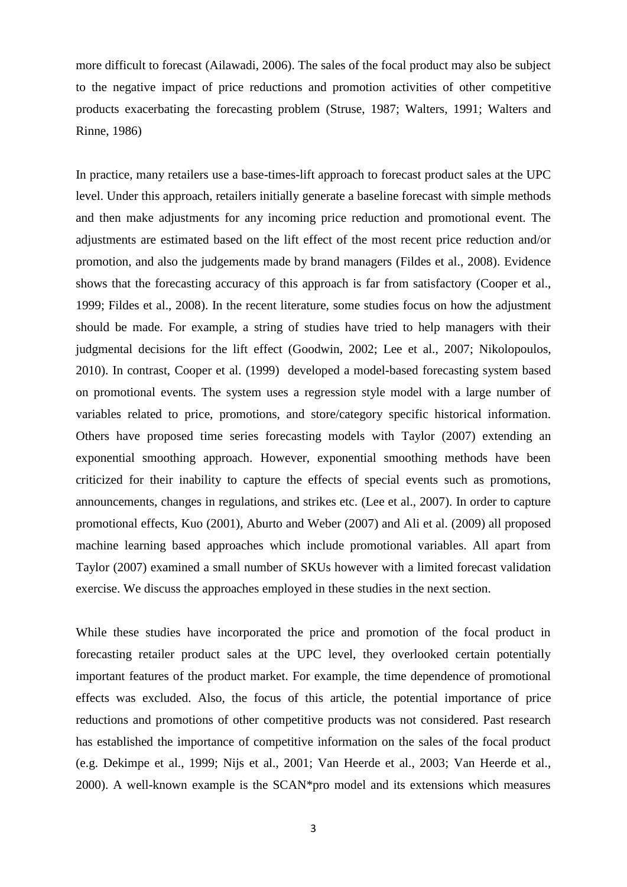more difficult to forecast [\(Ailawadi, 2006\)](#page-28-5). The sales of the focal product may also be subject to the negative impact of price reductions and promotion activities of other competitive products exacerbating the forecasting problem [\(Struse, 1987;](#page-31-0) [Walters, 1991;](#page-31-1) [Walters and](#page-31-2)  [Rinne, 1986\)](#page-31-2)

In practice, many retailers use a base-times-lift approach to forecast product sales at the UPC level. Under this approach, retailers initially generate a baseline forecast with simple methods and then make adjustments for any incoming price reduction and promotional event. The adjustments are estimated based on the lift effect of the most recent price reduction and/or promotion, and also the judgements made by brand managers [\(Fildes et al., 2008\)](#page-29-3). Evidence shows that the forecasting accuracy of this approach is far from satisfactory [\(Cooper et al.,](#page-29-1)  [1999;](#page-29-1) [Fildes et al., 2008\)](#page-29-3). In the recent literature, some studies focus on how the adjustment should be made. For example, a string of studies have tried to help managers with their judgmental decisions for the lift effect [\(Goodwin, 2002;](#page-30-8) [Lee et al., 2007;](#page-30-9) [Nikolopoulos,](#page-30-10)  [2010\)](#page-30-10). In contrast, [Cooper et al. \(1999\)](#page-29-1) developed a model-based forecasting system based on promotional events. The system uses a regression style model with a large number of variables related to price, promotions, and store/category specific historical information. Others have proposed time series forecasting models with [Taylor \(2007\)](#page-31-4) extending an exponential smoothing approach. However, exponential smoothing methods have been criticized for their inability to capture the effects of special events such as promotions, announcements, changes in regulations, and strikes etc. [\(Lee et al., 2007\)](#page-30-9). In order to capture promotional effects, [Kuo \(2001\)](#page-30-1), [Aburto and Weber \(2007\)](#page-28-6) and [Ali et al. \(2009\)](#page-28-0) all proposed machine learning based approaches which include promotional variables. All apart from [Taylor \(2007\)](#page-31-4) examined a small number of SKUs however with a limited forecast validation exercise. We discuss the approaches employed in these studies in the next section.

While these studies have incorporated the price and promotion of the focal product in forecasting retailer product sales at the UPC level, they overlooked certain potentially important features of the product market. For example, the time dependence of promotional effects was excluded. Also, the focus of this article, the potential importance of price reductions and promotions of other competitive products was not considered. Past research has established the importance of competitive information on the sales of the focal product (e.g. [Dekimpe et al., 1999;](#page-29-4) [Nijs et al., 2001;](#page-30-5) [Van Heerde et al., 2003;](#page-31-5) [Van Heerde et al.,](#page-31-6)  [2000\)](#page-31-6). A well-known example is the SCAN\*pro model and its extensions which measures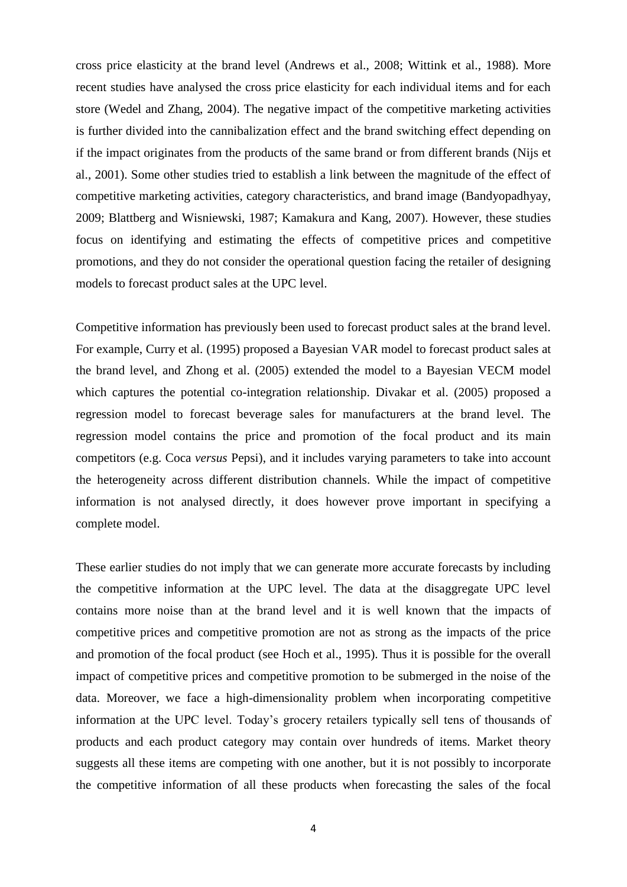cross price elasticity at the brand level [\(Andrews et al., 2008;](#page-28-7) [Wittink et al., 1988\)](#page-31-7). More recent studies have analysed the cross price elasticity for each individual items and for each store [\(Wedel and Zhang, 2004\)](#page-31-8). The negative impact of the competitive marketing activities is further divided into the cannibalization effect and the brand switching effect depending on if the impact originates from the products of the same brand or from different brands [\(Nijs et](#page-30-5)  [al., 2001\)](#page-30-5). Some other studies tried to establish a link between the magnitude of the effect of competitive marketing activities, category characteristics, and brand image [\(Bandyopadhyay,](#page-28-8)  [2009;](#page-28-8) [Blattberg and Wisniewski, 1987;](#page-28-9) [Kamakura and Kang, 2007\)](#page-30-6). However, these studies focus on identifying and estimating the effects of competitive prices and competitive promotions, and they do not consider the operational question facing the retailer of designing models to forecast product sales at the UPC level.

Competitive information has previously been used to forecast product sales at the brand level. For example, [Curry et al. \(1995\)](#page-29-5) proposed a Bayesian VAR model to forecast product sales at the brand level, and [Zhong et al. \(2005\)](#page-31-9) extended the model to a Bayesian VECM model which captures the potential co-integration relationship. [Divakar et al. \(2005\)](#page-29-6) proposed a regression model to forecast beverage sales for manufacturers at the brand level. The regression model contains the price and promotion of the focal product and its main competitors (e.g. Coca *versus* Pepsi), and it includes varying parameters to take into account the heterogeneity across different distribution channels. While the impact of competitive information is not analysed directly, it does however prove important in specifying a complete model.

These earlier studies do not imply that we can generate more accurate forecasts by including the competitive information at the UPC level. The data at the disaggregate UPC level contains more noise than at the brand level and it is well known that the impacts of competitive prices and competitive promotion are not as strong as the impacts of the price and promotion of the focal product [\(see Hoch et al., 1995\)](#page-30-11). Thus it is possible for the overall impact of competitive prices and competitive promotion to be submerged in the noise of the data. Moreover, we face a high-dimensionality problem when incorporating competitive information at the UPC level. Today's grocery retailers typically sell tens of thousands of products and each product category may contain over hundreds of items. Market theory suggests all these items are competing with one another, but it is not possibly to incorporate the competitive information of all these products when forecasting the sales of the focal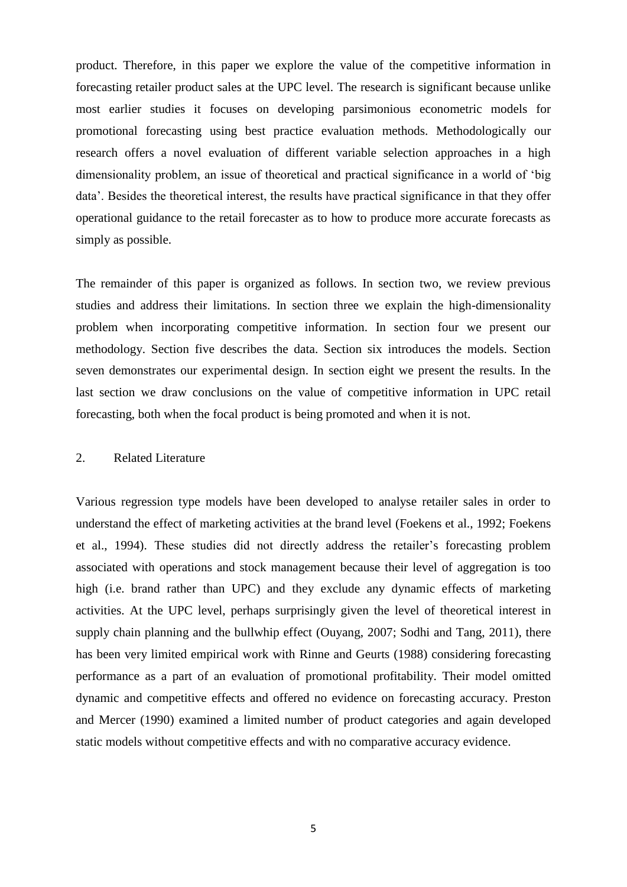product. Therefore, in this paper we explore the value of the competitive information in forecasting retailer product sales at the UPC level. The research is significant because unlike most earlier studies it focuses on developing parsimonious econometric models for promotional forecasting using best practice evaluation methods. Methodologically our research offers a novel evaluation of different variable selection approaches in a high dimensionality problem, an issue of theoretical and practical significance in a world of 'big data'. Besides the theoretical interest, the results have practical significance in that they offer operational guidance to the retail forecaster as to how to produce more accurate forecasts as simply as possible.

The remainder of this paper is organized as follows. In section two, we review previous studies and address their limitations. In section three we explain the high-dimensionality problem when incorporating competitive information. In section four we present our methodology. Section five describes the data. Section six introduces the models. Section seven demonstrates our experimental design. In section eight we present the results. In the last section we draw conclusions on the value of competitive information in UPC retail forecasting, both when the focal product is being promoted and when it is not.

#### 2. Related Literature

Various regression type models have been developed to analyse retailer sales in order to understand the effect of marketing activities at the brand level [\(Foekens et al., 1992;](#page-29-7) [Foekens](#page-29-8)  [et al., 1994\)](#page-29-8). These studies did not directly address the retailer's forecasting problem associated with operations and stock management because their level of aggregation is too high (i.e. brand rather than UPC) and they exclude any dynamic effects of marketing activities. At the UPC level, perhaps surprisingly given the level of theoretical interest in supply chain planning and the bullwhip effect [\(Ouyang, 2007;](#page-30-12) [Sodhi and Tang, 2011\)](#page-31-10), there has been very limited empirical work with [Rinne and Geurts \(1988\)](#page-30-13) considering forecasting performance as a part of an evaluation of promotional profitability. Their model omitted dynamic and competitive effects and offered no evidence on forecasting accuracy. [Preston](#page-30-14)  [and Mercer \(1990\)](#page-30-14) examined a limited number of product categories and again developed static models without competitive effects and with no comparative accuracy evidence.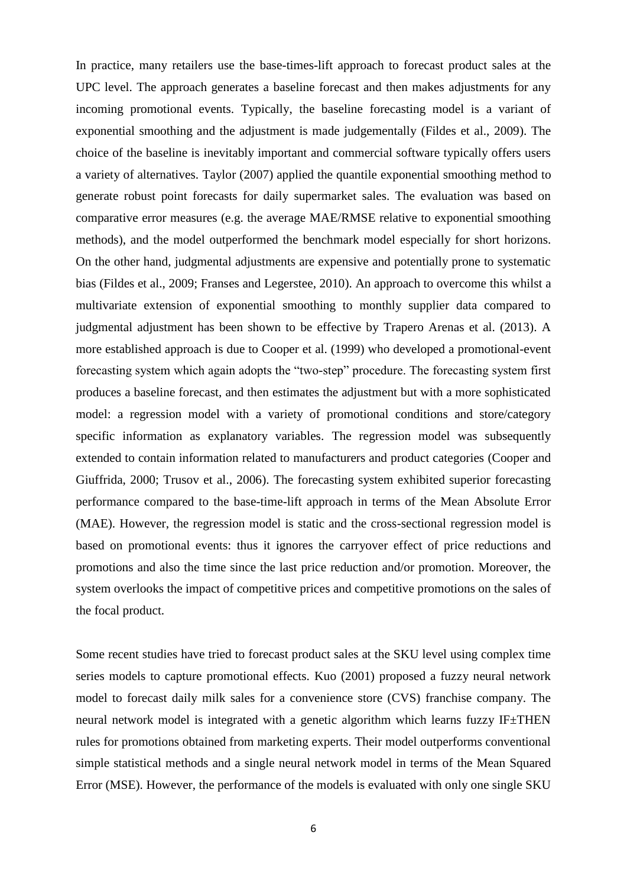In practice, many retailers use the base-times-lift approach to forecast product sales at the UPC level. The approach generates a baseline forecast and then makes adjustments for any incoming promotional events. Typically, the baseline forecasting model is a variant of exponential smoothing and the adjustment is made judgementally [\(Fildes et al., 2009\)](#page-29-9). The choice of the baseline is inevitably important and commercial software typically offers users a variety of alternatives. [Taylor \(2007\)](#page-31-4) applied the quantile exponential smoothing method to generate robust point forecasts for daily supermarket sales. The evaluation was based on comparative error measures (e.g. the average MAE/RMSE relative to exponential smoothing methods), and the model outperformed the benchmark model especially for short horizons. On the other hand, judgmental adjustments are expensive and potentially prone to systematic bias [\(Fildes et al., 2009;](#page-29-9) [Franses and Legerstee, 2010\)](#page-30-15). An approach to overcome this whilst a multivariate extension of exponential smoothing to monthly supplier data compared to judgmental adjustment has been shown to be effective by [Trapero Arenas et al. \(2013\)](#page-31-11). A more established approach is due to [Cooper et al. \(1999\)](#page-29-1) who developed a promotional-event forecasting system which again adopts the "two-step" procedure. The forecasting system first produces a baseline forecast, and then estimates the adjustment but with a more sophisticated model: a regression model with a variety of promotional conditions and store/category specific information as explanatory variables. The regression model was subsequently extended to contain information related to manufacturers and product categories [\(Cooper and](#page-29-10)  [Giuffrida, 2000;](#page-29-10) [Trusov et al., 2006\)](#page-31-12). The forecasting system exhibited superior forecasting performance compared to the base-time-lift approach in terms of the Mean Absolute Error (MAE). However, the regression model is static and the cross-sectional regression model is based on promotional events: thus it ignores the carryover effect of price reductions and promotions and also the time since the last price reduction and/or promotion. Moreover, the system overlooks the impact of competitive prices and competitive promotions on the sales of the focal product.

Some recent studies have tried to forecast product sales at the SKU level using complex time series models to capture promotional effects. [Kuo \(2001\)](#page-30-1) proposed a fuzzy neural network model to forecast daily milk sales for a convenience store (CVS) franchise company. The neural network model is integrated with a genetic algorithm which learns fuzzy IF±THEN rules for promotions obtained from marketing experts. Their model outperforms conventional simple statistical methods and a single neural network model in terms of the Mean Squared Error (MSE). However, the performance of the models is evaluated with only one single SKU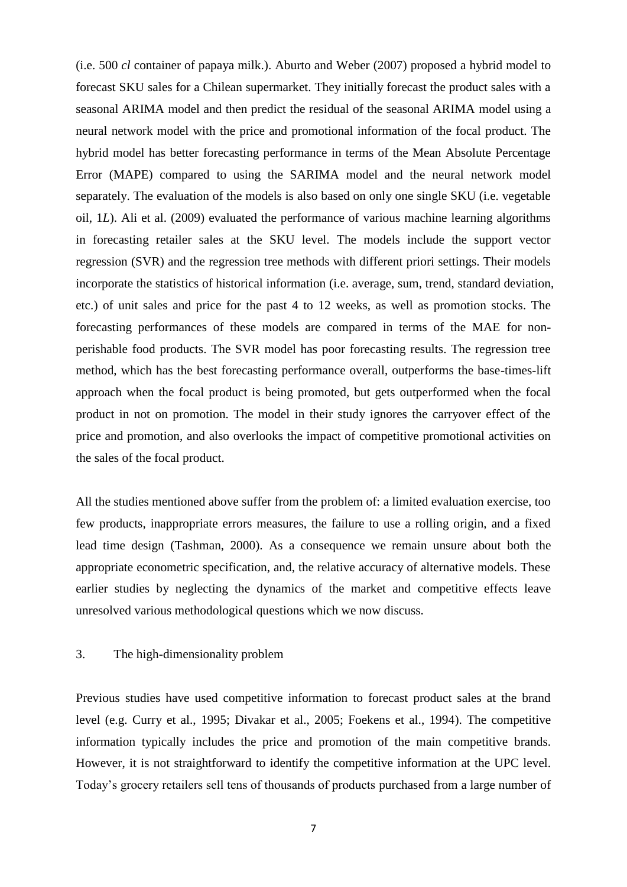(i.e. 500 *cl* container of papaya milk.). [Aburto and Weber \(2007\)](#page-28-6) proposed a hybrid model to forecast SKU sales for a Chilean supermarket. They initially forecast the product sales with a seasonal ARIMA model and then predict the residual of the seasonal ARIMA model using a neural network model with the price and promotional information of the focal product. The hybrid model has better forecasting performance in terms of the Mean Absolute Percentage Error (MAPE) compared to using the SARIMA model and the neural network model separately. The evaluation of the models is also based on only one single SKU (i.e. vegetable oil, 1*L*). [Ali et al. \(2009\)](#page-28-0) evaluated the performance of various machine learning algorithms in forecasting retailer sales at the SKU level. The models include the support vector regression (SVR) and the regression tree methods with different priori settings. Their models incorporate the statistics of historical information (i.e. average, sum, trend, standard deviation, etc.) of unit sales and price for the past 4 to 12 weeks, as well as promotion stocks. The forecasting performances of these models are compared in terms of the MAE for nonperishable food products. The SVR model has poor forecasting results. The regression tree method, which has the best forecasting performance overall, outperforms the base-times-lift approach when the focal product is being promoted, but gets outperformed when the focal product in not on promotion. The model in their study ignores the carryover effect of the price and promotion, and also overlooks the impact of competitive promotional activities on the sales of the focal product.

All the studies mentioned above suffer from the problem of: a limited evaluation exercise, too few products, inappropriate errors measures, the failure to use a rolling origin, and a fixed lead time design [\(Tashman, 2000\)](#page-31-13). As a consequence we remain unsure about both the appropriate econometric specification, and, the relative accuracy of alternative models. These earlier studies by neglecting the dynamics of the market and competitive effects leave unresolved various methodological questions which we now discuss.

# 3. The high-dimensionality problem

Previous studies have used competitive information to forecast product sales at the brand level (e.g. [Curry et al., 1995;](#page-29-5) [Divakar et al., 2005;](#page-29-6) [Foekens et al., 1994\)](#page-29-8). The competitive information typically includes the price and promotion of the main competitive brands. However, it is not straightforward to identify the competitive information at the UPC level. Today's grocery retailers sell tens of thousands of products purchased from a large number of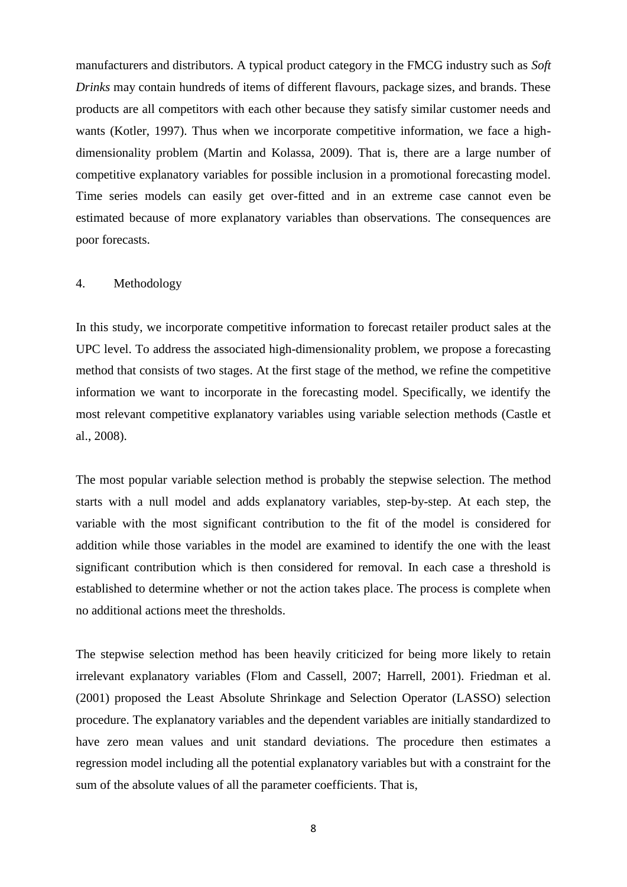manufacturers and distributors. A typical product category in the FMCG industry such as *Soft Drinks* may contain hundreds of items of different flavours, package sizes, and brands. These products are all competitors with each other because they satisfy similar customer needs and wants [\(Kotler, 1997\)](#page-30-16). Thus when we incorporate competitive information, we face a highdimensionality problem [\(Martin and Kolassa, 2009\)](#page-30-17). That is, there are a large number of competitive explanatory variables for possible inclusion in a promotional forecasting model. Time series models can easily get over-fitted and in an extreme case cannot even be estimated because of more explanatory variables than observations. The consequences are poor forecasts.

#### 4. Methodology

In this study, we incorporate competitive information to forecast retailer product sales at the UPC level. To address the associated high-dimensionality problem, we propose a forecasting method that consists of two stages. At the first stage of the method, we refine the competitive information we want to incorporate in the forecasting model. Specifically, we identify the most relevant competitive explanatory variables using variable selection methods [\(Castle et](#page-28-10)  [al., 2008\)](#page-28-10).

The most popular variable selection method is probably the stepwise selection. The method starts with a null model and adds explanatory variables, step-by-step. At each step, the variable with the most significant contribution to the fit of the model is considered for addition while those variables in the model are examined to identify the one with the least significant contribution which is then considered for removal. In each case a threshold is established to determine whether or not the action takes place. The process is complete when no additional actions meet the thresholds.

The stepwise selection method has been heavily criticized for being more likely to retain irrelevant explanatory variables [\(Flom and Cassell, 2007;](#page-29-11) [Harrell, 2001\)](#page-30-18). [Friedman et al.](#page-30-19)  [\(2001\)](#page-30-19) proposed the Least Absolute Shrinkage and Selection Operator (LASSO) selection procedure. The explanatory variables and the dependent variables are initially standardized to have zero mean values and unit standard deviations. The procedure then estimates a regression model including all the potential explanatory variables but with a constraint for the sum of the absolute values of all the parameter coefficients. That is,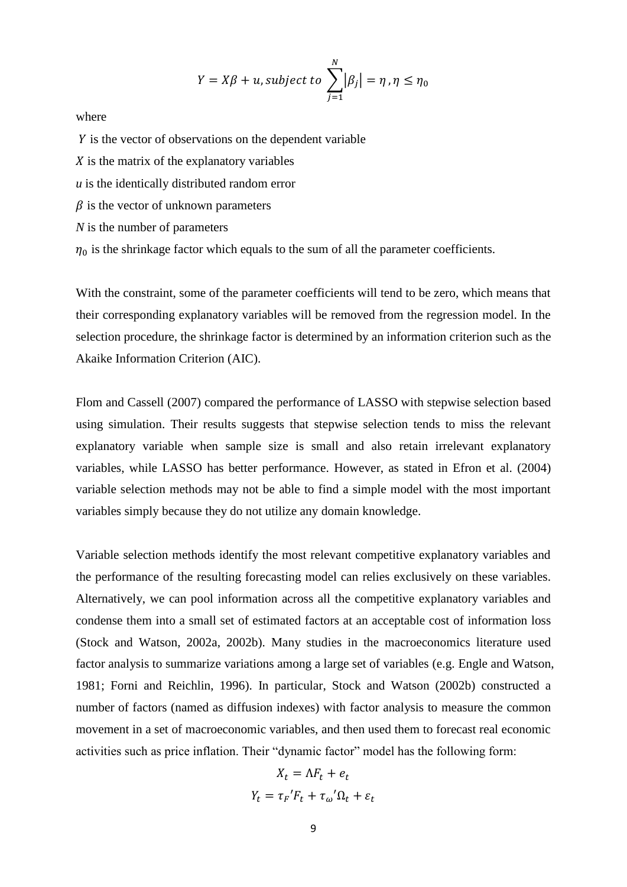$$
Y = X\beta + u, subject to \sum_{j=1}^{N} |\beta_j| = \eta, \eta \le \eta_0
$$

where

 $Y$  is the vector of observations on the dependent variable

 $\chi$  is the matrix of the explanatory variables

*u* is the identically distributed random error

 $\beta$  is the vector of unknown parameters

*N* is the number of parameters

 $\eta_0$  is the shrinkage factor which equals to the sum of all the parameter coefficients.

With the constraint, some of the parameter coefficients will tend to be zero, which means that their corresponding explanatory variables will be removed from the regression model. In the selection procedure, the shrinkage factor is determined by an information criterion such as the Akaike Information Criterion (AIC).

[Flom and Cassell \(2007\)](#page-29-11) compared the performance of LASSO with stepwise selection based using simulation. Their results suggests that stepwise selection tends to miss the relevant explanatory variable when sample size is small and also retain irrelevant explanatory variables, while LASSO has better performance. However, as stated in [Efron et al. \(2004\)](#page-29-12) variable selection methods may not be able to find a simple model with the most important variables simply because they do not utilize any domain knowledge.

Variable selection methods identify the most relevant competitive explanatory variables and the performance of the resulting forecasting model can relies exclusively on these variables. Alternatively, we can pool information across all the competitive explanatory variables and condense them into a small set of estimated factors at an acceptable cost of information loss [\(Stock and Watson, 2002a,](#page-31-14) [2002b\)](#page-31-15). Many studies in the macroeconomics literature used factor analysis to summarize variations among a large set of variables (e.g. [Engle and Watson,](#page-29-13)  [1981;](#page-29-13) [Forni and Reichlin, 1996\)](#page-29-14). In particular, [Stock and Watson \(2002b\)](#page-31-15) constructed a number of factors (named as diffusion indexes) with factor analysis to measure the common movement in a set of macroeconomic variables, and then used them to forecast real economic activities such as price inflation. Their "dynamic factor" model has the following form:

$$
X_t = \Lambda F_t + e_t
$$

$$
Y_t = \tau_F' F_t + \tau_\omega' \Omega_t + \varepsilon_t
$$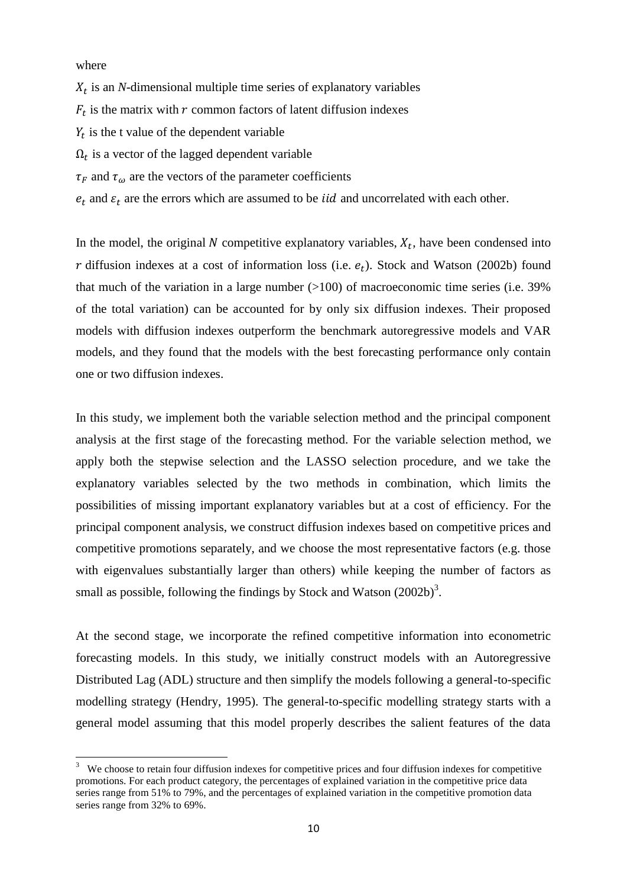where

**.** 

 $X_t$  is an *N*-dimensional multiple time series of explanatory variables  $F_t$  is the matrix with r common factors of latent diffusion indexes  $Y_t$  is the t value of the dependent variable  $\Omega_t$  is a vector of the lagged dependent variable  $\tau_F$  and  $\tau_\omega$  are the vectors of the parameter coefficients

 $e_t$  and  $\varepsilon_t$  are the errors which are assumed to be *iid* and uncorrelated with each other.

In the model, the original N competitive explanatory variables,  $X_t$ , have been condensed into r diffusion indexes at a cost of information loss (i.e.  $e_t$ ). [Stock and Watson \(2002b\)](#page-31-15) found that much of the variation in a large number  $(>100)$  of macroeconomic time series (i.e. 39%) of the total variation) can be accounted for by only six diffusion indexes. Their proposed models with diffusion indexes outperform the benchmark autoregressive models and VAR models, and they found that the models with the best forecasting performance only contain one or two diffusion indexes.

In this study, we implement both the variable selection method and the principal component analysis at the first stage of the forecasting method. For the variable selection method, we apply both the stepwise selection and the LASSO selection procedure, and we take the explanatory variables selected by the two methods in combination, which limits the possibilities of missing important explanatory variables but at a cost of efficiency. For the principal component analysis, we construct diffusion indexes based on competitive prices and competitive promotions separately, and we choose the most representative factors (e.g. those with eigenvalues substantially larger than others) while keeping the number of factors as small as possible, following the findings by Stock and Watson  $(2002b)^3$ .

At the second stage, we incorporate the refined competitive information into econometric forecasting models. In this study, we initially construct models with an Autoregressive Distributed Lag (ADL) structure and then simplify the models following a general-to-specific modelling strategy [\(Hendry, 1995\)](#page-30-20). The general-to-specific modelling strategy starts with a general model assuming that this model properly describes the salient features of the data

 $3$  We choose to retain four diffusion indexes for competitive prices and four diffusion indexes for competitive promotions. For each product category, the percentages of explained variation in the competitive price data series range from 51% to 79%, and the percentages of explained variation in the competitive promotion data series range from 32% to 69%.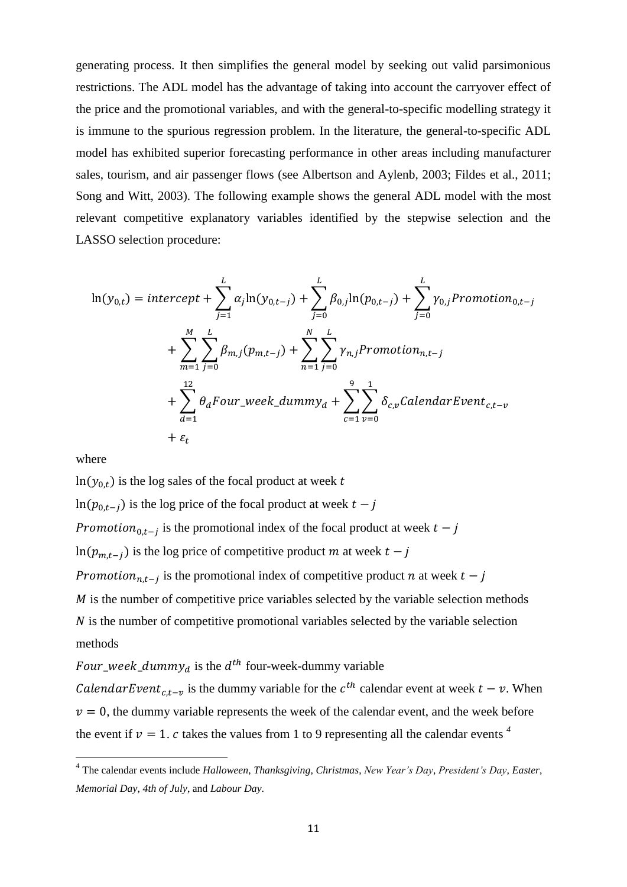generating process. It then simplifies the general model by seeking out valid parsimonious restrictions. The ADL model has the advantage of taking into account the carryover effect of the price and the promotional variables, and with the general-to-specific modelling strategy it is immune to the spurious regression problem. In the literature, the general-to-specific ADL model has exhibited superior forecasting performance in other areas including manufacturer sales, tourism, and air passenger flows (see [Albertson and Aylenb, 2003;](#page-28-11) [Fildes et al., 2011;](#page-29-15) [Song and Witt, 2003\)](#page-31-16). The following example shows the general ADL model with the most relevant competitive explanatory variables identified by the stepwise selection and the LASSO selection procedure:

$$
\ln(y_{0,t}) = intercept + \sum_{j=1}^{L} \alpha_j \ln(y_{0,t-j}) + \sum_{j=0}^{L} \beta_{0,j} \ln(p_{0,t-j}) + \sum_{j=0}^{L} \gamma_{0,j} \text{Promotion}_{0,t-j} + \sum_{m=1}^{M} \sum_{j=0}^{L} \beta_{m,j} (p_{m,t-j}) + \sum_{n=1}^{N} \sum_{j=0}^{L} \gamma_{n,j} \text{Promotion}_{n,t-j} + \sum_{d=1}^{12} \theta_d \text{Four\_week\_dummy}_d + \sum_{c=1}^{9} \sum_{v=0}^{1} \delta_{c,v} \text{CalendarEvent}_{c,t-v} + \varepsilon_t
$$

where

**.** 

 $\ln(y_{0,t})$  is the log sales of the focal product at week t  $\ln(p_{0,t-j})$  is the log price of the focal product at week  $t-j$ *Promotion*<sub>0.t-i</sub> is the promotional index of the focal product at week  $\ln(p_{m,t-j})$  is the log price of competitive product m at week  $t-j$ *Promotion*<sub>nt-i</sub> is the promotional index of competitive product n at week  *is the number of competitive price variables selected by the variable selection methods*  $N$  is the number of competitive promotional variables selected by the variable selection methods

Four\_week\_dummy<sub>d</sub> is the  $d^{th}$  four-week-dummy variable

*Calendar Event<sub>c,t-v</sub>* is the dummy variable for the  $c^{th}$  calendar event at week  $t - v$ . When  $v = 0$ , the dummy variable represents the week of the calendar event, and the week before the event if  $v = 1$ . c takes the values from 1 to 9 representing all the calendar events <sup>4</sup>

<sup>4</sup> The calendar events include *Halloween*, *Thanksgiving*, *Christmas*, *New Year's Day*, *President's Day*, *Easter*, *Memorial Day*, *4th of July*, and *Labour Day*.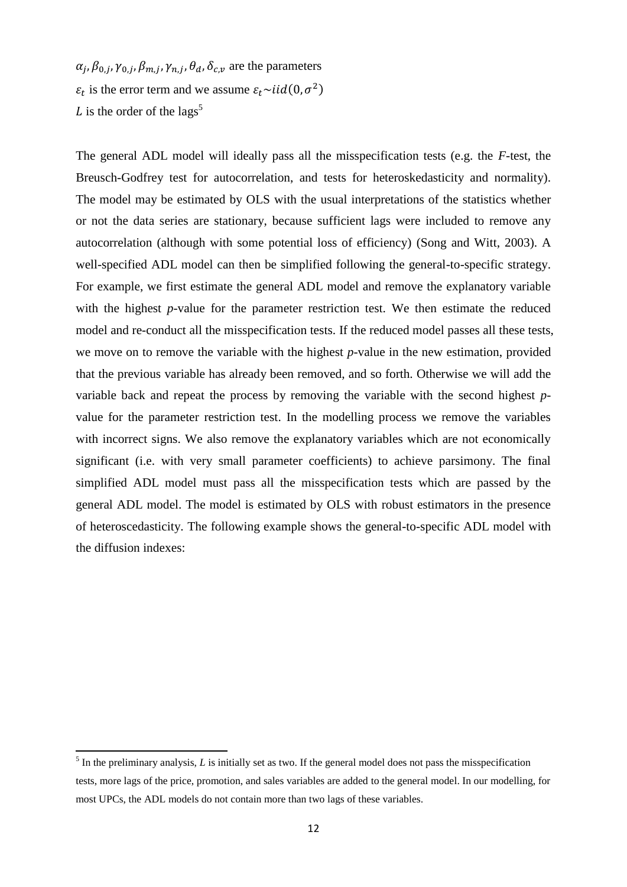$\alpha_i, \beta_{0,i}, \gamma_{0,i}, \beta_{m,i}, \gamma_{n,i}, \theta_d, \delta_c$  are the parameters  $\varepsilon_t$  is the error term and we assume  $\varepsilon_t \sim \frac{i}{d} (0, \sigma^2)$ L is the order of the lags<sup>5</sup>

The general ADL model will ideally pass all the misspecification tests (e.g. the *F*-test, the Breusch-Godfrey test for autocorrelation, and tests for heteroskedasticity and normality). The model may be estimated by OLS with the usual interpretations of the statistics whether or not the data series are stationary, because sufficient lags were included to remove any autocorrelation (although with some potential loss of efficiency) [\(Song and Witt, 2003\)](#page-31-16). A well-specified ADL model can then be simplified following the general-to-specific strategy. For example, we first estimate the general ADL model and remove the explanatory variable with the highest *p*-value for the parameter restriction test. We then estimate the reduced model and re-conduct all the misspecification tests. If the reduced model passes all these tests, we move on to remove the variable with the highest *p*-value in the new estimation, provided that the previous variable has already been removed, and so forth. Otherwise we will add the variable back and repeat the process by removing the variable with the second highest *p*value for the parameter restriction test. In the modelling process we remove the variables with incorrect signs. We also remove the explanatory variables which are not economically significant (i.e. with very small parameter coefficients) to achieve parsimony. The final simplified ADL model must pass all the misspecification tests which are passed by the general ADL model. The model is estimated by OLS with robust estimators in the presence of heteroscedasticity. The following example shows the general-to-specific ADL model with the diffusion indexes:

<sup>&</sup>lt;sup>5</sup> In the preliminary analysis, *L* is initially set as two. If the general model does not pass the misspecification tests, more lags of the price, promotion, and sales variables are added to the general model. In our modelling, for most UPCs, the ADL models do not contain more than two lags of these variables.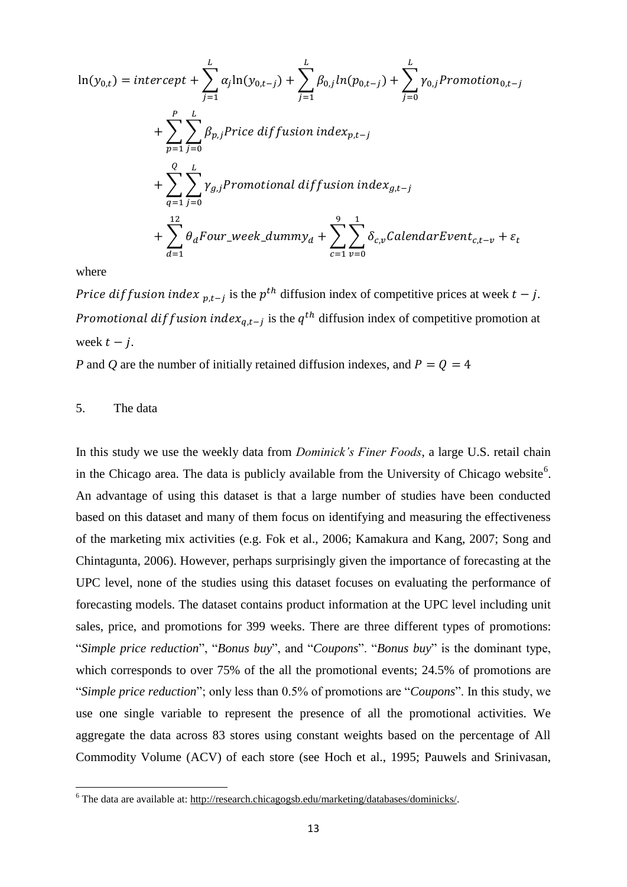$$
\ln(y_{0,t}) = intercept + \sum_{j=1}^{L} \alpha_j \ln(y_{0,t-j}) + \sum_{j=1}^{L} \beta_{0,j} ln(p_{0,t-j}) + \sum_{j=0}^{L} \gamma_{0,j} Promotion_{0,t-j}
$$
  
+ 
$$
\sum_{p=1}^{P} \sum_{j=0}^{L} \beta_{p,j} Price\ diffusion\ index_{p,t-j}
$$
  
+ 
$$
\sum_{q=1}^{Q} \sum_{j=0}^{L} \gamma_{g,j} Promotional\ diffusion\ index_{g,t-j}
$$
  
+ 
$$
\sum_{d=1}^{12} \theta_d Four\_week\_dummy_d + \sum_{c=1}^{9} \sum_{v=0}^{1} \delta_{c,v} CalendarEvent_{c,t-v} + \epsilon_t
$$

where

Price dif fusion index  $p_{t-1}$  is the  $p^{th}$  diffusion index of competitive prices at week  $t - j$ . Promotional diffusion index<sub>a,t-i</sub> is the  $q^{th}$  diffusion index of competitive promotion at week  $t - i$ .

*P* and *Q* are the number of initially retained diffusion indexes, and  $P = Q = 4$ 

# 5. The data

1

In this study we use the weekly data from *Dominick's Finer Foods*, a large U.S. retail chain in the Chicago area. The data is publicly available from the University of Chicago website<sup>6</sup>. An advantage of using this dataset is that a large number of studies have been conducted based on this dataset and many of them focus on identifying and measuring the effectiveness of the marketing mix activities (e.g. [Fok et al., 2006;](#page-29-16) [Kamakura and Kang, 2007;](#page-30-6) [Song and](#page-31-17)  [Chintagunta, 2006\)](#page-31-17). However, perhaps surprisingly given the importance of forecasting at the UPC level, none of the studies using this dataset focuses on evaluating the performance of forecasting models. The dataset contains product information at the UPC level including unit sales, price, and promotions for 399 weeks. There are three different types of promotions: "*Simple price reduction*", "*Bonus buy*", and "*Coupons*". "*Bonus buy*" is the dominant type, which corresponds to over 75% of the all the promotional events; 24.5% of promotions are "*Simple price reduction*"; only less than 0.5% of promotions are "*Coupons*". In this study, we use one single variable to represent the presence of all the promotional activities. We aggregate the data across 83 stores using constant weights based on the percentage of All Commodity Volume (ACV) of each store (see [Hoch et al., 1995;](#page-30-11) [Pauwels and Srinivasan,](#page-30-21) 

<sup>&</sup>lt;sup>6</sup> The data are available at[: http://research.chicagogsb.edu/marketing/databases/dominicks/.](http://research.chicagogsb.edu/marketing/databases/dominicks/)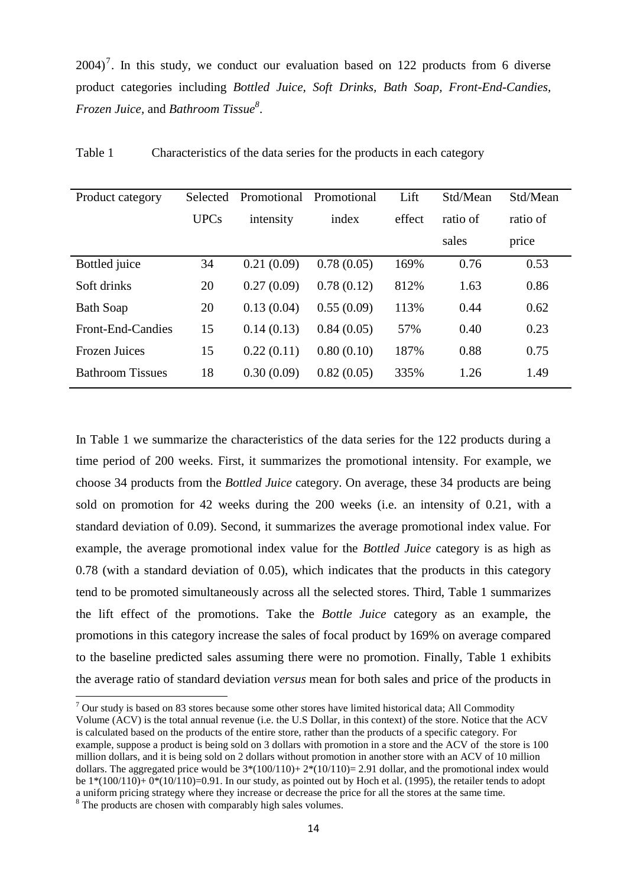$2004$ <sup>7</sup>. In this study, we conduct our evaluation based on 122 products from 6 diverse product categories including *Bottled Juice, Soft Drinks, Bath Soap, Front-End-Candies, Frozen Juice,* and *Bathroom Tissue<sup>8</sup>* .

| Product category        | Selected    | Promotional | Promotional | Lift   | Std/Mean | Std/Mean |
|-------------------------|-------------|-------------|-------------|--------|----------|----------|
|                         | <b>UPCs</b> | intensity   | index       | effect | ratio of | ratio of |
|                         |             |             |             |        | sales    | price    |
| Bottled juice           | 34          | 0.21(0.09)  | 0.78(0.05)  | 169%   | 0.76     | 0.53     |
| Soft drinks             | 20          | 0.27(0.09)  | 0.78(0.12)  | 812%   | 1.63     | 0.86     |
| <b>Bath Soap</b>        | 20          | 0.13(0.04)  | 0.55(0.09)  | 113%   | 0.44     | 0.62     |
| Front-End-Candies       | 15          | 0.14(0.13)  | 0.84(0.05)  | 57%    | 0.40     | 0.23     |
| <b>Frozen Juices</b>    | 15          | 0.22(0.11)  | 0.80(0.10)  | 187%   | 0.88     | 0.75     |
| <b>Bathroom Tissues</b> | 18          | 0.30(0.09)  | 0.82(0.05)  | 335%   | 1.26     | 1.49     |

Table 1 Characteristics of the data series for the products in each category

In Table 1 we summarize the characteristics of the data series for the 122 products during a time period of 200 weeks. First, it summarizes the promotional intensity. For example, we choose 34 products from the *Bottled Juice* category. On average, these 34 products are being sold on promotion for 42 weeks during the 200 weeks (i.e. an intensity of 0.21, with a standard deviation of 0.09). Second, it summarizes the average promotional index value. For example, the average promotional index value for the *Bottled Juice* category is as high as 0.78 (with a standard deviation of 0.05), which indicates that the products in this category tend to be promoted simultaneously across all the selected stores. Third, Table 1 summarizes the lift effect of the promotions. Take the *Bottle Juice* category as an example, the promotions in this category increase the sales of focal product by 169% on average compared to the baseline predicted sales assuming there were no promotion. Finally, Table 1 exhibits the average ratio of standard deviation *versus* mean for both sales and price of the products in

 $\overline{a}$ 

 $7$  Our study is based on 83 stores because some other stores have limited historical data; All Commodity Volume (ACV) is the total annual revenue (i.e. the U.S Dollar, in this context) of the store. Notice that the ACV is calculated based on the products of the entire store, rather than the products of a specific category. For example, suppose a product is being sold on 3 dollars with promotion in a store and the ACV of the store is 100 million dollars, and it is being sold on 2 dollars without promotion in another store with an ACV of 10 million dollars. The aggregated price would be  $3*(100/110) + 2*(10/110) = 2.91$  dollar, and the promotional index would be  $1*(100/110)$ +  $0*(10/110)$ =0.91. In our study, as pointed out by Hoch et al. (1995), the retailer tends to adopt a uniform pricing strategy where they increase or decrease the price for all the stores at the same time.

<sup>&</sup>lt;sup>8</sup> The products are chosen with comparably high sales volumes.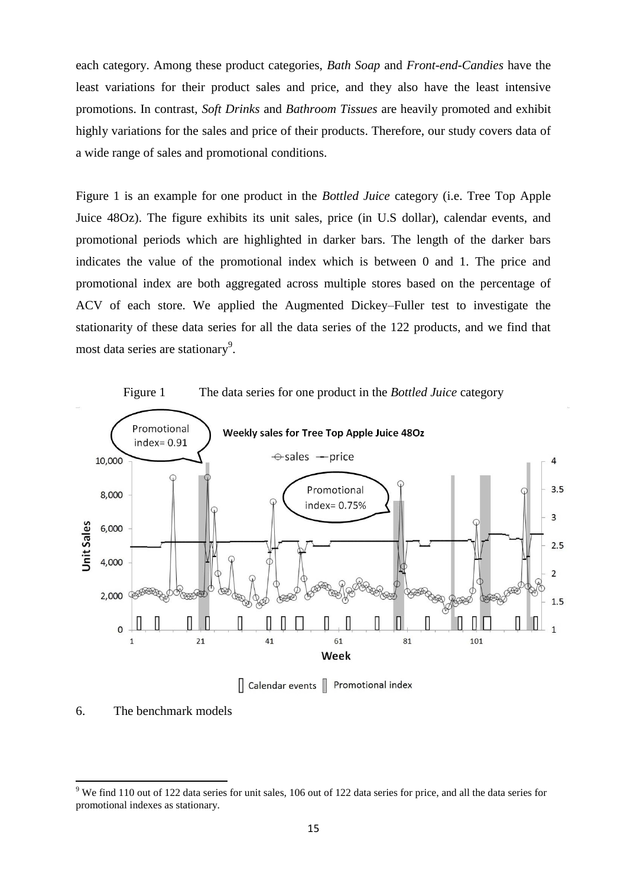each category. Among these product categories, *Bath Soap* and *Front-end-Candies* have the least variations for their product sales and price, and they also have the least intensive promotions. In contrast, *Soft Drinks* and *Bathroom Tissues* are heavily promoted and exhibit highly variations for the sales and price of their products. Therefore, our study covers data of a wide range of sales and promotional conditions.

Figure 1 is an example for one product in the *Bottled Juice* category (i.e. Tree Top Apple Juice 48Oz). The figure exhibits its unit sales, price (in U.S dollar), calendar events, and promotional periods which are highlighted in darker bars. The length of the darker bars indicates the value of the promotional index which is between 0 and 1. The price and promotional index are both aggregated across multiple stores based on the percentage of ACV of each store. We applied the Augmented Dickey–Fuller test to investigate the stationarity of these data series for all the data series of the 122 products, and we find that most data series are stationary<sup>9</sup>.



6. The benchmark models

**.** 

 $9$  We find 110 out of 122 data series for unit sales, 106 out of 122 data series for price, and all the data series for promotional indexes as stationary.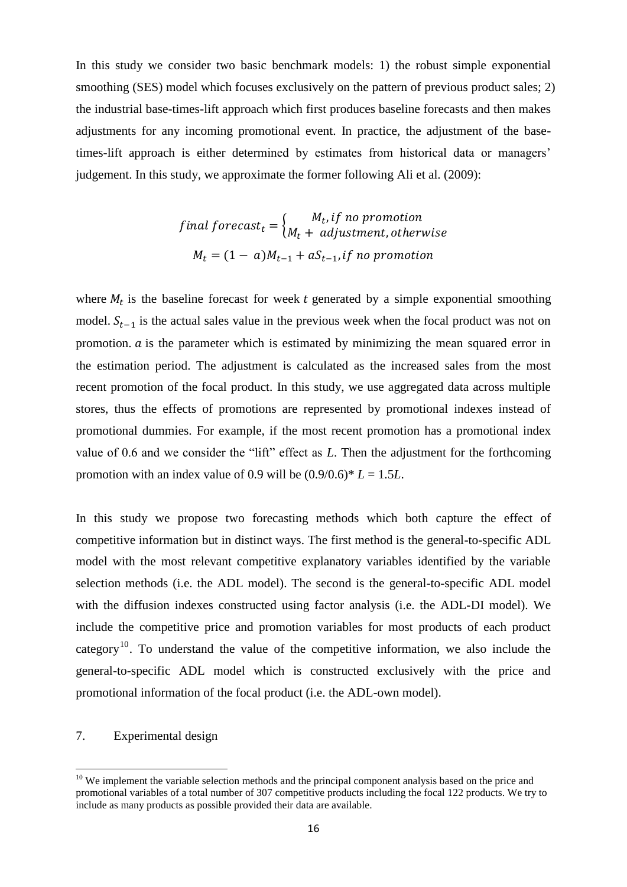In this study we consider two basic benchmark models: 1) the robust simple exponential smoothing (SES) model which focuses exclusively on the pattern of previous product sales; 2) the industrial base-times-lift approach which first produces baseline forecasts and then makes adjustments for any incoming promotional event. In practice, the adjustment of the basetimes-lift approach is either determined by estimates from historical data or managers' judgement. In this study, we approximate the former following [Ali et al. \(2009\)](#page-28-0):

> final forecast<sub>t</sub> =  $\int_{M} \frac{M_t}{\sqrt{M_t}}$  $\boldsymbol{M}$  $M_t = (1 - a)M_{t-1} + aS_{t-1}$ , if no promotion

where  $M_t$  is the baseline forecast for week t generated by a simple exponential smoothing model.  $S_{t-1}$  is the actual sales value in the previous week when the focal product was not on promotion.  $\alpha$  is the parameter which is estimated by minimizing the mean squared error in the estimation period. The adjustment is calculated as the increased sales from the most recent promotion of the focal product. In this study, we use aggregated data across multiple stores, thus the effects of promotions are represented by promotional indexes instead of promotional dummies. For example, if the most recent promotion has a promotional index value of 0.6 and we consider the "lift" effect as *L*. Then the adjustment for the forthcoming promotion with an index value of 0.9 will be  $(0.9/0.6)^*$   $L = 1.5L$ .

In this study we propose two forecasting methods which both capture the effect of competitive information but in distinct ways. The first method is the general-to-specific ADL model with the most relevant competitive explanatory variables identified by the variable selection methods (i.e. the ADL model). The second is the general-to-specific ADL model with the diffusion indexes constructed using factor analysis (i.e. the ADL-DI model). We include the competitive price and promotion variables for most products of each product category<sup>10</sup>. To understand the value of the competitive information, we also include the general-to-specific ADL model which is constructed exclusively with the price and promotional information of the focal product (i.e. the ADL-own model).

# 7. Experimental design

1

 $10$  We implement the variable selection methods and the principal component analysis based on the price and promotional variables of a total number of 307 competitive products including the focal 122 products. We try to include as many products as possible provided their data are available.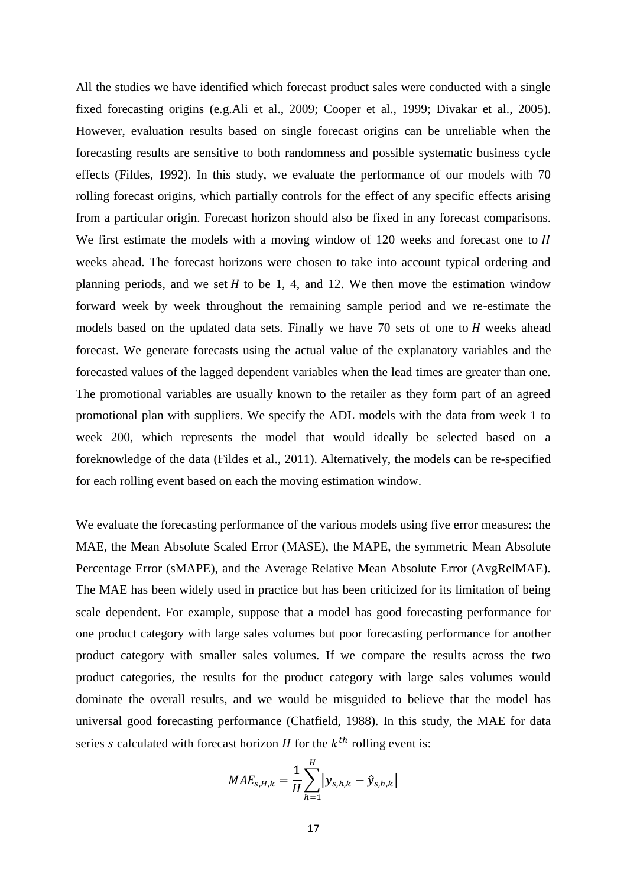All the studies we have identified which forecast product sales were conducted with a single fixed forecasting origins (e.g[.Ali et al., 2009;](#page-28-0) [Cooper et al., 1999;](#page-29-1) [Divakar et al., 2005\)](#page-29-6). However, evaluation results based on single forecast origins can be unreliable when the forecasting results are sensitive to both randomness and possible systematic business cycle effects [\(Fildes, 1992\)](#page-29-17). In this study, we evaluate the performance of our models with 70 rolling forecast origins, which partially controls for the effect of any specific effects arising from a particular origin. Forecast horizon should also be fixed in any forecast comparisons. We first estimate the models with a moving window of  $120$  weeks and forecast one to  $H$ weeks ahead. The forecast horizons were chosen to take into account typical ordering and planning periods, and we set  $H$  to be 1, 4, and 12. We then move the estimation window forward week by week throughout the remaining sample period and we re-estimate the models based on the updated data sets. Finally we have  $70$  sets of one to  $H$  weeks ahead forecast. We generate forecasts using the actual value of the explanatory variables and the forecasted values of the lagged dependent variables when the lead times are greater than one. The promotional variables are usually known to the retailer as they form part of an agreed promotional plan with suppliers. We specify the ADL models with the data from week 1 to week 200, which represents the model that would ideally be selected based on a foreknowledge of the data [\(Fildes et al., 2011\)](#page-29-15). Alternatively, the models can be re-specified for each rolling event based on each the moving estimation window.

We evaluate the forecasting performance of the various models using five error measures: the MAE, the Mean Absolute Scaled Error (MASE), the MAPE, the symmetric Mean Absolute Percentage Error (sMAPE), and the Average Relative Mean Absolute Error (AvgRelMAE). The MAE has been widely used in practice but has been criticized for its limitation of being scale dependent. For example, suppose that a model has good forecasting performance for one product category with large sales volumes but poor forecasting performance for another product category with smaller sales volumes. If we compare the results across the two product categories, the results for the product category with large sales volumes would dominate the overall results, and we would be misguided to believe that the model has universal good forecasting performance [\(Chatfield, 1988\)](#page-28-12). In this study, the MAE for data series s calculated with forecast horizon  $H$  for the  $k^{th}$  rolling event is:

$$
MAE_{s,H,k} = \frac{1}{H} \sum_{h=1}^{H} |y_{s,h,k} - \hat{y}_{s,h,k}|
$$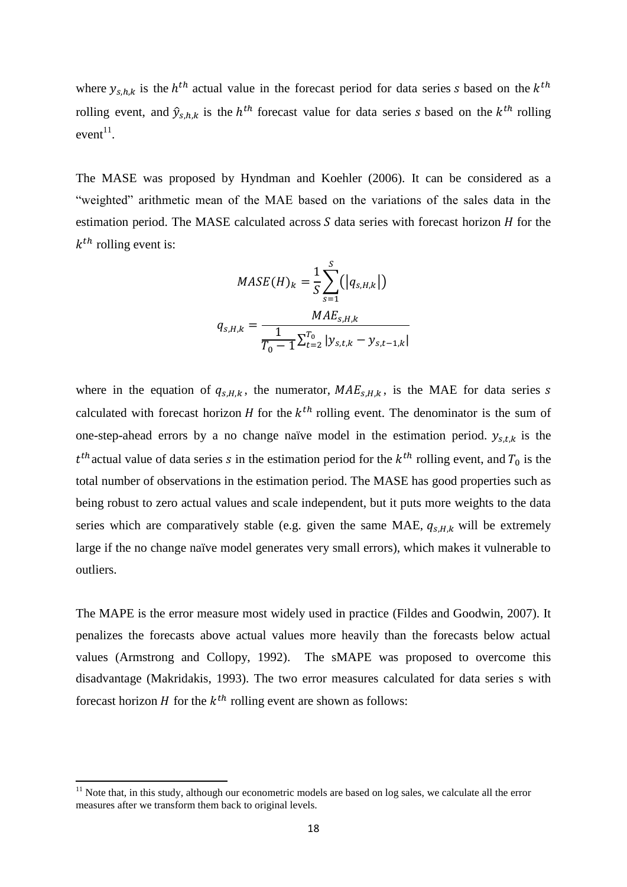where  $y_{s,h,k}$  is the  $h^{th}$  actual value in the forecast period for data series s based on the  $k^t$ rolling event, and  $\hat{y}_{s,h,k}$  is the  $h^{th}$  forecast value for data series s based on the  $k^{th}$  rolling  $event<sup>11</sup>$ .

The MASE was proposed by [Hyndman and Koehler \(2006\)](#page-30-22). It can be considered as a "weighted" arithmetic mean of the MAE based on the variations of the sales data in the estimation period. The MASE calculated across  $S$  data series with forecast horizon  $H$  for the  $k^{th}$  rolling event is:

$$
MASE(H)_k = \frac{1}{S} \sum_{s=1}^{S} (|q_{s,H,k}|)
$$

$$
q_{s,H,k} = \frac{MAE_{s,H,k}}{T_0 - 1} \sum_{t=2}^{T_0} |y_{s,t,k} - y_{s,t-1,k}|
$$

where in the equation of  $q_{s,H,k}$ , the numerator,  $MAE_{s,H,k}$ , is the MAE for data series s calculated with forecast horizon H for the  $k^{th}$  rolling event. The denominator is the sum of one-step-ahead errors by a no change naïve model in the estimation period.  $y_{s,t,k}$  is the  $t^{th}$  actual value of data series s in the estimation period for the  $k^{th}$  rolling event, and  $T_0$  is the total number of observations in the estimation period. The MASE has good properties such as being robust to zero actual values and scale independent, but it puts more weights to the data series which are comparatively stable (e.g. given the same MAE,  $q_{s,H,k}$  will be extremely large if the no change naïve model generates very small errors), which makes it vulnerable to outliers.

The MAPE is the error measure most widely used in practice [\(Fildes and Goodwin, 2007\)](#page-29-18). It penalizes the forecasts above actual values more heavily than the forecasts below actual values [\(Armstrong and Collopy, 1992\)](#page-28-13). The sMAPE was proposed to overcome this disadvantage [\(Makridakis, 1993\)](#page-30-23). The two error measures calculated for data series s with forecast horizon *H* for the  $k^{th}$  rolling event are shown as follows:

**.** 

 $11$  Note that, in this study, although our econometric models are based on log sales, we calculate all the error measures after we transform them back to original levels.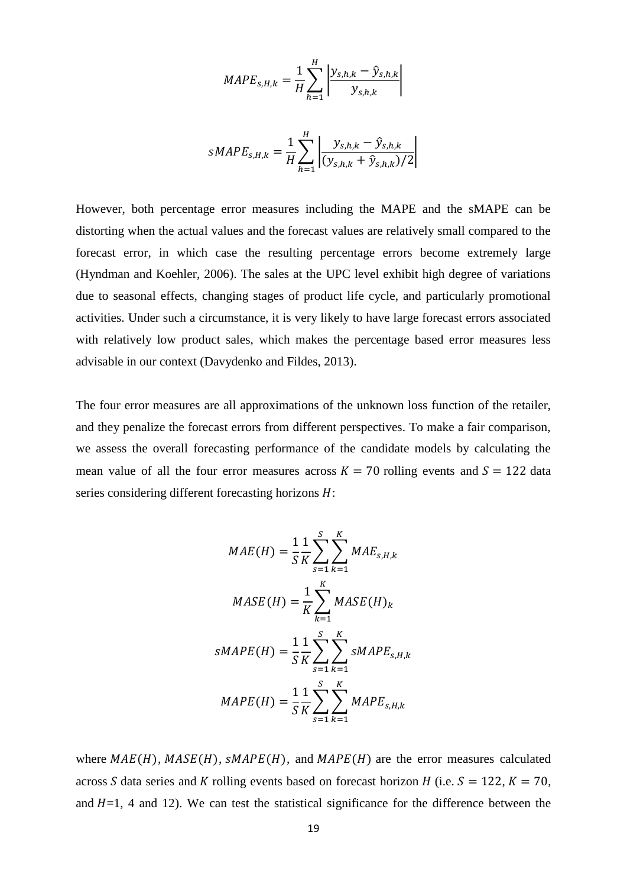$$
MAPE_{s,H,k} = \frac{1}{H} \sum_{h=1}^{H} \left| \frac{y_{s,h,k} - \hat{y}_{s,h,k}}{y_{s,h,k}} \right|
$$

$$
sMAPE_{s,H,k} = \frac{1}{H} \sum_{h=1}^{H} \left| \frac{y_{s,h,k} - \hat{y}_{s,h,k}}{(y_{s,h,k} + \hat{y}_{s,h,k})/2} \right|
$$

However, both percentage error measures including the MAPE and the sMAPE can be distorting when the actual values and the forecast values are relatively small compared to the forecast error, in which case the resulting percentage errors become extremely large [\(Hyndman and Koehler, 2006\)](#page-30-22). The sales at the UPC level exhibit high degree of variations due to seasonal effects, changing stages of product life cycle, and particularly promotional activities. Under such a circumstance, it is very likely to have large forecast errors associated with relatively low product sales, which makes the percentage based error measures less advisable in our context [\(Davydenko and Fildes, 2013\)](#page-29-19).

The four error measures are all approximations of the unknown loss function of the retailer, and they penalize the forecast errors from different perspectives. To make a fair comparison, we assess the overall forecasting performance of the candidate models by calculating the mean value of all the four error measures across  $K = 70$  rolling events and  $S = 122$  data series considering different forecasting horizons  $H$ :

$$
MAE(H) = \frac{1}{S} \frac{1}{K} \sum_{s=1}^{S} \sum_{k=1}^{K} MAE_{s,H,k}
$$
  
\n
$$
MASE(H) = \frac{1}{K} \sum_{k=1}^{K} MASE(H)_{k}
$$
  
\n
$$
SMAPE(H) = \frac{1}{S} \frac{1}{K} \sum_{s=1}^{S} \sum_{k=1}^{K} sMAPE_{s,H,k}
$$
  
\n
$$
MAPE(H) = \frac{1}{S} \frac{1}{K} \sum_{s=1}^{S} \sum_{k=1}^{K} MAPE_{s,H,k}
$$

where  $MAE(H)$ ,  $MASE(H)$ ,  $SMAPE(H)$ , and  $MAPE(H)$  are the error measures calculated across S data series and K rolling events based on forecast horizon H (i.e.  $S = 122$ ,  $K = 70$ , and  $H=1$ , 4 and 12). We can test the statistical significance for the difference between the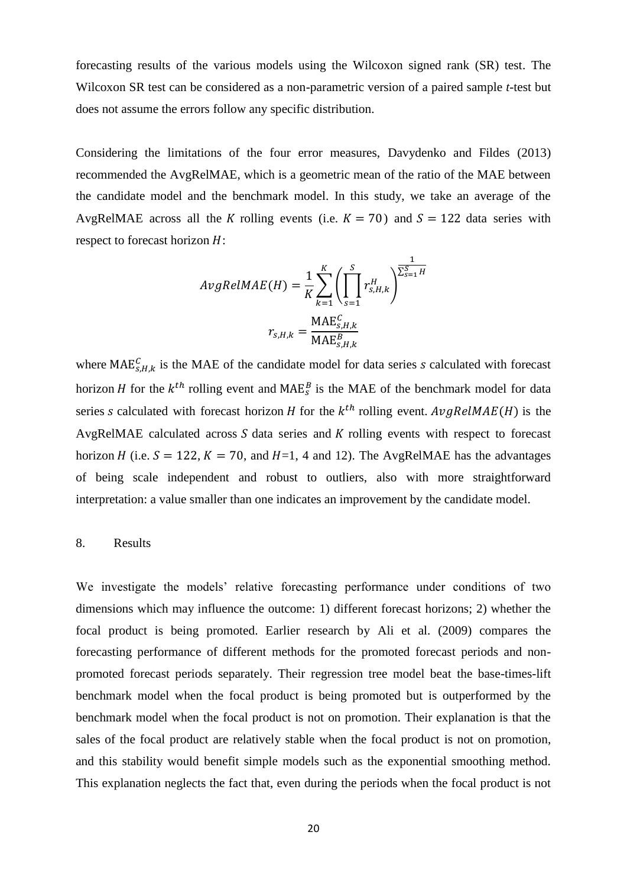forecasting results of the various models using the Wilcoxon signed rank (SR) test. The Wilcoxon SR test can be considered as a non-parametric version of a paired sample *t*-test but does not assume the errors follow any specific distribution.

Considering the limitations of the four error measures, [Davydenko and Fildes \(2013\)](#page-29-19) recommended the AvgRelMAE, which is a geometric mean of the ratio of the MAE between the candidate model and the benchmark model. In this study, we take an average of the AvgRelMAE across all the K rolling events (i.e.  $K = 70$ ) and  $S = 122$  data series with respect to forecast horizon  $H$ :

$$
AvgRelMAE(H) = \frac{1}{K} \sum_{k=1}^{K} \left( \prod_{s=1}^{S} r_{s,H,k}^{H} \right)^{\frac{1}{\sum_{s=1}^{S} H}}
$$

$$
r_{s,H,k} = \frac{\text{MAE}_{s,H,k}^{C}}{\text{MAE}_{s,H,k}^{B}}
$$

where MAE<sub>S,H,k</sub> is the MAE of the candidate model for data series s calculated with forecast horizon *H* for the  $k^{th}$  rolling event and MAE<sup>B</sup> is the MAE of the benchmark model for data series s calculated with forecast horizon H for the  $k^{th}$  rolling event.  $AvgRelMAE(H)$  is the AvgRelMAE calculated across  $S$  data series and  $K$  rolling events with respect to forecast horizon H (i.e.  $S = 122$ ,  $K = 70$ , and H=1, 4 and 12). The AvgRelMAE has the advantages of being scale independent and robust to outliers, also with more straightforward interpretation: a value smaller than one indicates an improvement by the candidate model.

# 8. Results

We investigate the models' relative forecasting performance under conditions of two dimensions which may influence the outcome: 1) different forecast horizons; 2) whether the focal product is being promoted. Earlier research by [Ali et al. \(2009\)](#page-28-0) compares the forecasting performance of different methods for the promoted forecast periods and nonpromoted forecast periods separately. Their regression tree model beat the base-times-lift benchmark model when the focal product is being promoted but is outperformed by the benchmark model when the focal product is not on promotion. Their explanation is that the sales of the focal product are relatively stable when the focal product is not on promotion, and this stability would benefit simple models such as the exponential smoothing method. This explanation neglects the fact that, even during the periods when the focal product is not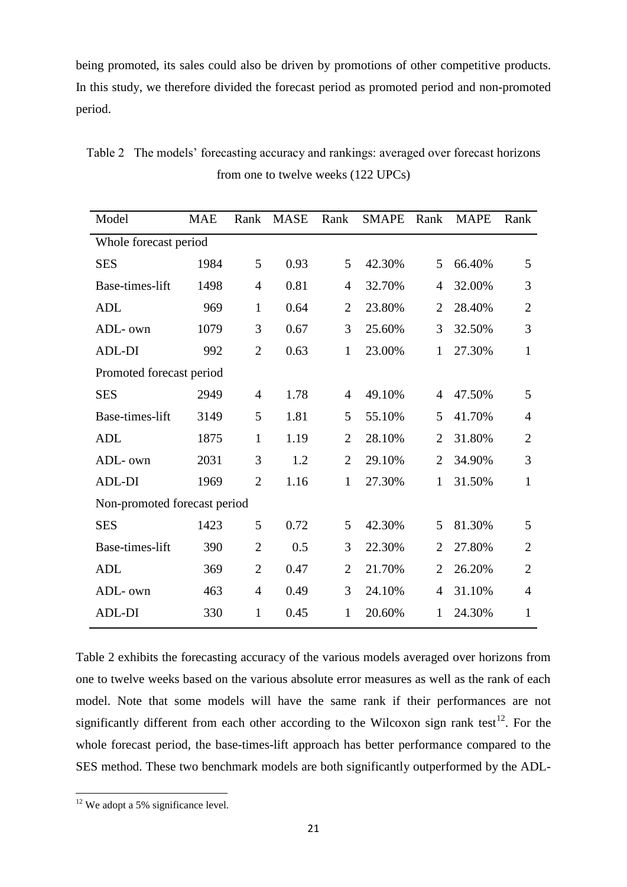being promoted, its sales could also be driven by promotions of other competitive products. In this study, we therefore divided the forecast period as promoted period and non-promoted period.

| Model                        | <b>MAE</b> | Rank           | <b>MASE</b> | Rank           | <b>SMAPE</b> | Rank           | <b>MAPE</b> | Rank           |  |
|------------------------------|------------|----------------|-------------|----------------|--------------|----------------|-------------|----------------|--|
| Whole forecast period        |            |                |             |                |              |                |             |                |  |
| <b>SES</b>                   | 1984       | 5              | 0.93        | 5              | 42.30%       | 5              | 66.40%      | 5              |  |
| Base-times-lift              | 1498       | $\overline{4}$ | 0.81        | $\overline{4}$ | 32.70%       | $\overline{4}$ | 32.00%      | 3              |  |
| <b>ADL</b>                   | 969        | $\mathbf{1}$   | 0.64        | $\overline{2}$ | 23.80%       | $\overline{2}$ | 28.40%      | $\overline{2}$ |  |
| ADL- own                     | 1079       | 3              | 0.67        | 3              | 25.60%       | 3              | 32.50%      | 3              |  |
| <b>ADL-DI</b>                | 992        | $\overline{2}$ | 0.63        | $\mathbf{1}$   | 23.00%       | $\mathbf{1}$   | 27.30%      | $\mathbf{1}$   |  |
| Promoted forecast period     |            |                |             |                |              |                |             |                |  |
| <b>SES</b>                   | 2949       | $\overline{4}$ | 1.78        | 4              | 49.10%       | $\overline{4}$ | 47.50%      | 5              |  |
| Base-times-lift              | 3149       | 5              | 1.81        | 5              | 55.10%       | 5              | 41.70%      | 4              |  |
| <b>ADL</b>                   | 1875       | $\mathbf{1}$   | 1.19        | $\overline{2}$ | 28.10%       | $\overline{2}$ | 31.80%      | $\overline{2}$ |  |
| ADL- own                     | 2031       | 3              | 1.2         | $\overline{2}$ | 29.10%       | $\overline{2}$ | 34.90%      | 3              |  |
| ADL-DI                       | 1969       | $\overline{2}$ | 1.16        | $\mathbf{1}$   | 27.30%       | $\mathbf{1}$   | 31.50%      | 1              |  |
| Non-promoted forecast period |            |                |             |                |              |                |             |                |  |
| <b>SES</b>                   | 1423       | 5              | 0.72        | 5              | 42.30%       | 5              | 81.30%      | 5              |  |
| Base-times-lift              | 390        | $\overline{2}$ | 0.5         | 3              | 22.30%       | $\overline{2}$ | 27.80%      | $\overline{2}$ |  |
| <b>ADL</b>                   | 369        | $\overline{2}$ | 0.47        | $\overline{2}$ | 21.70%       | $\overline{2}$ | 26.20%      | $\overline{2}$ |  |
| ADL- own                     | 463        | $\overline{4}$ | 0.49        | 3              | 24.10%       | 4              | 31.10%      | $\overline{4}$ |  |
| <b>ADL-DI</b>                | 330        | 1              | 0.45        | 1              | 20.60%       | 1              | 24.30%      | 1              |  |

Table 2 The models' forecasting accuracy and rankings: averaged over forecast horizons from one to twelve weeks (122 UPCs)

Table 2 exhibits the forecasting accuracy of the various models averaged over horizons from one to twelve weeks based on the various absolute error measures as well as the rank of each model. Note that some models will have the same rank if their performances are not significantly different from each other according to the Wilcoxon sign rank test<sup>12</sup>. For the whole forecast period, the base-times-lift approach has better performance compared to the SES method. These two benchmark models are both significantly outperformed by the ADL-

**.** 

 $12$  We adopt a 5% significance level.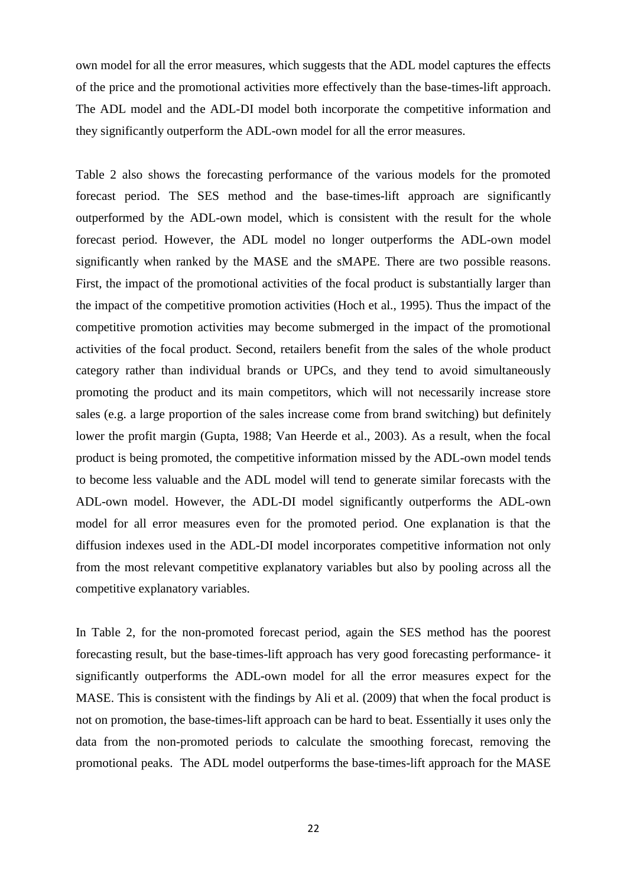own model for all the error measures, which suggests that the ADL model captures the effects of the price and the promotional activities more effectively than the base-times-lift approach. The ADL model and the ADL-DI model both incorporate the competitive information and they significantly outperform the ADL-own model for all the error measures.

Table 2 also shows the forecasting performance of the various models for the promoted forecast period. The SES method and the base-times-lift approach are significantly outperformed by the ADL-own model, which is consistent with the result for the whole forecast period. However, the ADL model no longer outperforms the ADL-own model significantly when ranked by the MASE and the sMAPE. There are two possible reasons. First, the impact of the promotional activities of the focal product is substantially larger than the impact of the competitive promotion activities [\(Hoch et al., 1995\)](#page-30-11). Thus the impact of the competitive promotion activities may become submerged in the impact of the promotional activities of the focal product. Second, retailers benefit from the sales of the whole product category rather than individual brands or UPCs, and they tend to avoid simultaneously promoting the product and its main competitors, which will not necessarily increase store sales (e.g. a large proportion of the sales increase come from brand switching) but definitely lower the profit margin [\(Gupta, 1988;](#page-30-2) [Van Heerde et al., 2003\)](#page-31-5). As a result, when the focal product is being promoted, the competitive information missed by the ADL-own model tends to become less valuable and the ADL model will tend to generate similar forecasts with the ADL-own model. However, the ADL-DI model significantly outperforms the ADL-own model for all error measures even for the promoted period. One explanation is that the diffusion indexes used in the ADL-DI model incorporates competitive information not only from the most relevant competitive explanatory variables but also by pooling across all the competitive explanatory variables.

In Table 2, for the non-promoted forecast period, again the SES method has the poorest forecasting result, but the base-times-lift approach has very good forecasting performance- it significantly outperforms the ADL-own model for all the error measures expect for the MASE. This is consistent with the findings by [Ali et al. \(2009\)](#page-28-0) that when the focal product is not on promotion, the base-times-lift approach can be hard to beat. Essentially it uses only the data from the non-promoted periods to calculate the smoothing forecast, removing the promotional peaks. The ADL model outperforms the base-times-lift approach for the MASE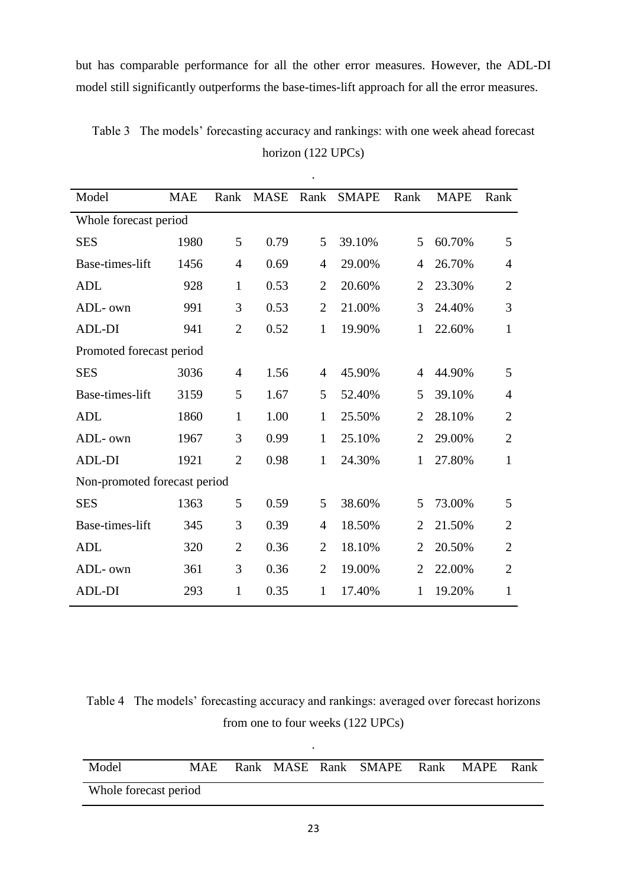but has comparable performance for all the other error measures. However, the ADL-DI model still significantly outperforms the base-times-lift approach for all the error measures.

| Model                        | <b>MAE</b> | Rank           | <b>MASE</b> | Rank           | <b>SMAPE</b> | Rank           | <b>MAPE</b> | Rank           |  |  |
|------------------------------|------------|----------------|-------------|----------------|--------------|----------------|-------------|----------------|--|--|
| Whole forecast period        |            |                |             |                |              |                |             |                |  |  |
| <b>SES</b>                   | 1980       | 5              | 0.79        | 5              | 39.10%       | 5              | 60.70%      | 5              |  |  |
| Base-times-lift              | 1456       | 4              | 0.69        | $\overline{4}$ | 29.00%       | $\overline{4}$ | 26.70%      | $\overline{4}$ |  |  |
| <b>ADL</b>                   | 928        | $\mathbf{1}$   | 0.53        | $\overline{2}$ | 20.60%       | $\overline{2}$ | 23.30%      | $\overline{2}$ |  |  |
| ADL- own                     | 991        | 3              | 0.53        | $\overline{2}$ | 21.00%       | 3              | 24.40%      | 3              |  |  |
| <b>ADL-DI</b>                | 941        | $\overline{2}$ | 0.52        | $\mathbf{1}$   | 19.90%       | $\mathbf{1}$   | 22.60%      | 1              |  |  |
| Promoted forecast period     |            |                |             |                |              |                |             |                |  |  |
| <b>SES</b>                   | 3036       | $\overline{4}$ | 1.56        | $\overline{4}$ | 45.90%       | $\overline{4}$ | 44.90%      | 5              |  |  |
| Base-times-lift              | 3159       | 5              | 1.67        | 5              | 52.40%       | 5              | 39.10%      | $\overline{4}$ |  |  |
| <b>ADL</b>                   | 1860       | $\mathbf{1}$   | 1.00        | $\mathbf{1}$   | 25.50%       | $\overline{2}$ | 28.10%      | $\overline{2}$ |  |  |
| ADL- own                     | 1967       | 3              | 0.99        | $\mathbf{1}$   | 25.10%       | $\overline{2}$ | 29.00%      | $\overline{2}$ |  |  |
| ADL-DI                       | 1921       | $\overline{2}$ | 0.98        | $\mathbf{1}$   | 24.30%       | $\mathbf{1}$   | 27.80%      | 1              |  |  |
| Non-promoted forecast period |            |                |             |                |              |                |             |                |  |  |
| <b>SES</b>                   | 1363       | 5              | 0.59        | 5              | 38.60%       | 5              | 73.00%      | 5              |  |  |
| Base-times-lift              | 345        | 3              | 0.39        | $\overline{4}$ | 18.50%       | $\overline{2}$ | 21.50%      | $\overline{2}$ |  |  |
| <b>ADL</b>                   | 320        | $\overline{2}$ | 0.36        | $\overline{2}$ | 18.10%       | $\overline{2}$ | 20.50%      | $\overline{2}$ |  |  |
| ADL- own                     | 361        | 3              | 0.36        | $\overline{2}$ | 19.00%       | $\overline{2}$ | 22.00%      | $\overline{2}$ |  |  |
| <b>ADL-DI</b>                | 293        | $\mathbf{1}$   | 0.35        | $\mathbf{1}$   | 17.40%       | 1              | 19.20%      | 1              |  |  |

Table 3 The models' forecasting accuracy and rankings: with one week ahead forecast horizon (122 UPCs)

.

Table 4 The models' forecasting accuracy and rankings: averaged over forecast horizons from one to four weeks (122 UPCs)

| Model                 | MAE. |  |  |  | Rank MASE Rank SMAPE Rank MAPE Rank |  |  |  |
|-----------------------|------|--|--|--|-------------------------------------|--|--|--|
| Whole forecast period |      |  |  |  |                                     |  |  |  |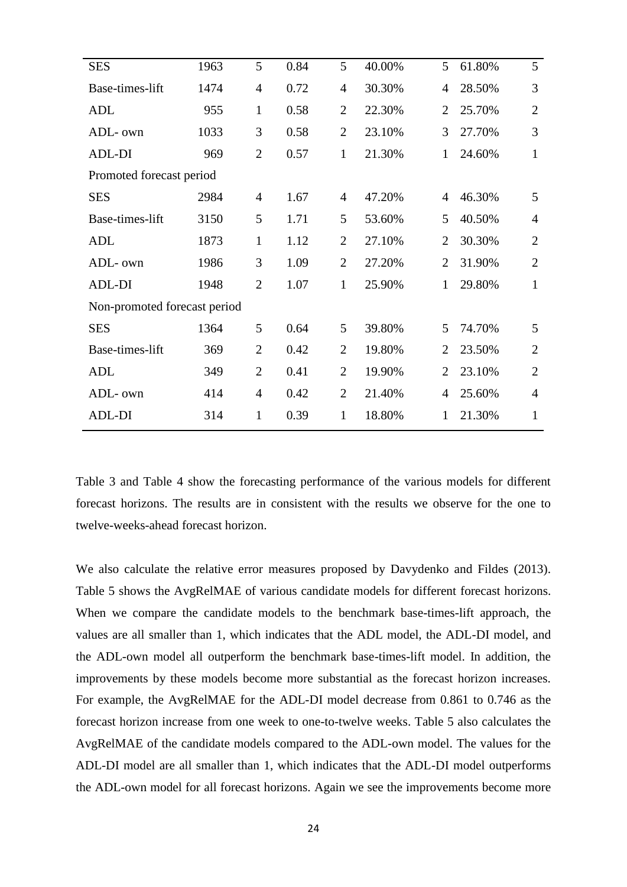| <b>SES</b>                   | 1963 | 5              | 0.84 | 5              | 40.00% | 5              | 61.80% | 5              |
|------------------------------|------|----------------|------|----------------|--------|----------------|--------|----------------|
| Base-times-lift              | 1474 | $\overline{4}$ | 0.72 | $\overline{4}$ | 30.30% | 4              | 28.50% | 3              |
| <b>ADL</b>                   | 955  | $\mathbf{1}$   | 0.58 | $\overline{2}$ | 22.30% | $\overline{2}$ | 25.70% | $\overline{2}$ |
| ADL- own                     | 1033 | 3              | 0.58 | $\overline{2}$ | 23.10% | 3              | 27.70% | 3              |
| ADL-DI                       | 969  | $\overline{2}$ | 0.57 | $\mathbf{1}$   | 21.30% | $\mathbf{1}$   | 24.60% | $\mathbf{1}$   |
| Promoted forecast period     |      |                |      |                |        |                |        |                |
| <b>SES</b>                   | 2984 | $\overline{4}$ | 1.67 | $\overline{4}$ | 47.20% | 4              | 46.30% | 5              |
| Base-times-lift              | 3150 | 5              | 1.71 | 5              | 53.60% | 5              | 40.50% | $\overline{4}$ |
| <b>ADL</b>                   | 1873 | $\mathbf{1}$   | 1.12 | $\overline{2}$ | 27.10% | $\overline{2}$ | 30.30% | $\overline{2}$ |
| ADL- own                     | 1986 | 3              | 1.09 | $\overline{2}$ | 27.20% | $\overline{2}$ | 31.90% | $\overline{2}$ |
| <b>ADL-DI</b>                | 1948 | $\overline{2}$ | 1.07 | $\mathbf{1}$   | 25.90% | 1              | 29.80% | $\mathbf{1}$   |
| Non-promoted forecast period |      |                |      |                |        |                |        |                |
| <b>SES</b>                   | 1364 | 5              | 0.64 | 5              | 39.80% | 5              | 74.70% | 5              |
| Base-times-lift              | 369  | $\overline{2}$ | 0.42 | $\overline{2}$ | 19.80% | 2              | 23.50% | $\overline{2}$ |
| <b>ADL</b>                   | 349  | $\overline{2}$ | 0.41 | $\overline{2}$ | 19.90% | $\overline{2}$ | 23.10% | $\overline{2}$ |
| ADL- own                     | 414  | $\overline{4}$ | 0.42 | $\overline{2}$ | 21.40% | 4              | 25.60% | $\overline{4}$ |
| <b>ADL-DI</b>                | 314  | $\mathbf{1}$   | 0.39 | $\mathbf{1}$   | 18.80% | 1              | 21.30% | $\mathbf{1}$   |
|                              |      |                |      |                |        |                |        |                |

Table 3 and Table 4 show the forecasting performance of the various models for different forecast horizons. The results are in consistent with the results we observe for the one to twelve-weeks-ahead forecast horizon.

We also calculate the relative error measures proposed by [Davydenko and Fildes \(2013\)](#page-29-19). Table 5 shows the AvgRelMAE of various candidate models for different forecast horizons. When we compare the candidate models to the benchmark base-times-lift approach, the values are all smaller than 1, which indicates that the ADL model, the ADL-DI model, and the ADL-own model all outperform the benchmark base-times-lift model. In addition, the improvements by these models become more substantial as the forecast horizon increases. For example, the AvgRelMAE for the ADL-DI model decrease from 0.861 to 0.746 as the forecast horizon increase from one week to one-to-twelve weeks. Table 5 also calculates the AvgRelMAE of the candidate models compared to the ADL-own model. The values for the ADL-DI model are all smaller than 1, which indicates that the ADL-DI model outperforms the ADL-own model for all forecast horizons. Again we see the improvements become more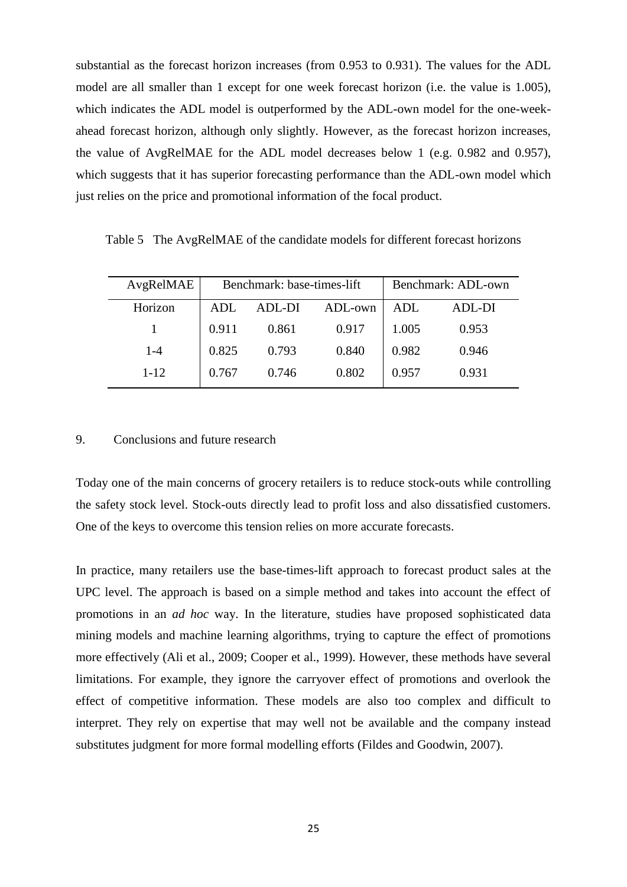substantial as the forecast horizon increases (from 0.953 to 0.931). The values for the ADL model are all smaller than 1 except for one week forecast horizon (i.e. the value is 1.005), which indicates the ADL model is outperformed by the ADL-own model for the one-weekahead forecast horizon, although only slightly. However, as the forecast horizon increases, the value of AvgRelMAE for the ADL model decreases below 1 (e.g. 0.982 and 0.957), which suggests that it has superior forecasting performance than the ADL-own model which just relies on the price and promotional information of the focal product.

Table 5 The AvgRelMAE of the candidate models for different forecast horizons

| AvgRelMAE |       | Benchmark: base-times-lift | Benchmark: ADL-own |       |        |
|-----------|-------|----------------------------|--------------------|-------|--------|
| Horizon   | ADL   | ADL-DI                     | ADL-own            | ADL   | ADL-DI |
|           | 0.911 | 0.861                      | 0.917              | 1.005 | 0.953  |
| $1 - 4$   | 0.825 | 0.793                      | 0.840              | 0.982 | 0.946  |
| $1 - 12$  | 0.767 | 0.746                      | 0.802              | 0.957 | 0.931  |

# 9. Conclusions and future research

Today one of the main concerns of grocery retailers is to reduce stock-outs while controlling the safety stock level. Stock-outs directly lead to profit loss and also dissatisfied customers. One of the keys to overcome this tension relies on more accurate forecasts.

In practice, many retailers use the base-times-lift approach to forecast product sales at the UPC level. The approach is based on a simple method and takes into account the effect of promotions in an *ad hoc* way. In the literature, studies have proposed sophisticated data mining models and machine learning algorithms, trying to capture the effect of promotions more effectively [\(Ali et al., 2009;](#page-28-0) [Cooper et al., 1999\)](#page-29-1). However, these methods have several limitations. For example, they ignore the carryover effect of promotions and overlook the effect of competitive information. These models are also too complex and difficult to interpret. They rely on expertise that may well not be available and the company instead substitutes judgment for more formal modelling efforts [\(Fildes and Goodwin, 2007\)](#page-29-18).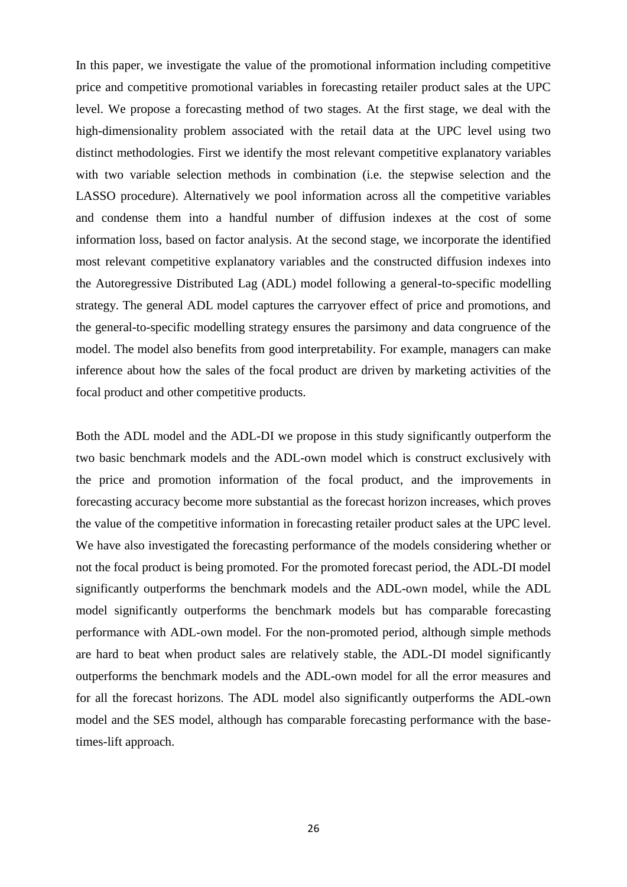In this paper, we investigate the value of the promotional information including competitive price and competitive promotional variables in forecasting retailer product sales at the UPC level. We propose a forecasting method of two stages. At the first stage, we deal with the high-dimensionality problem associated with the retail data at the UPC level using two distinct methodologies. First we identify the most relevant competitive explanatory variables with two variable selection methods in combination (i.e. the stepwise selection and the LASSO procedure). Alternatively we pool information across all the competitive variables and condense them into a handful number of diffusion indexes at the cost of some information loss, based on factor analysis. At the second stage, we incorporate the identified most relevant competitive explanatory variables and the constructed diffusion indexes into the Autoregressive Distributed Lag (ADL) model following a general-to-specific modelling strategy. The general ADL model captures the carryover effect of price and promotions, and the general-to-specific modelling strategy ensures the parsimony and data congruence of the model. The model also benefits from good interpretability. For example, managers can make inference about how the sales of the focal product are driven by marketing activities of the focal product and other competitive products.

Both the ADL model and the ADL-DI we propose in this study significantly outperform the two basic benchmark models and the ADL-own model which is construct exclusively with the price and promotion information of the focal product, and the improvements in forecasting accuracy become more substantial as the forecast horizon increases, which proves the value of the competitive information in forecasting retailer product sales at the UPC level. We have also investigated the forecasting performance of the models considering whether or not the focal product is being promoted. For the promoted forecast period, the ADL-DI model significantly outperforms the benchmark models and the ADL-own model, while the ADL model significantly outperforms the benchmark models but has comparable forecasting performance with ADL-own model. For the non-promoted period, although simple methods are hard to beat when product sales are relatively stable, the ADL-DI model significantly outperforms the benchmark models and the ADL-own model for all the error measures and for all the forecast horizons. The ADL model also significantly outperforms the ADL-own model and the SES model, although has comparable forecasting performance with the basetimes-lift approach.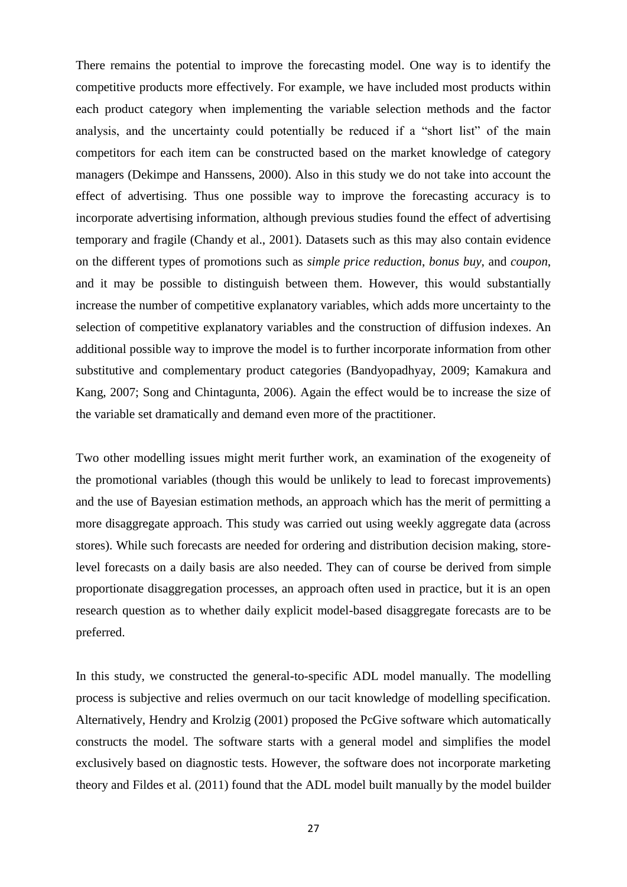There remains the potential to improve the forecasting model. One way is to identify the competitive products more effectively. For example, we have included most products within each product category when implementing the variable selection methods and the factor analysis, and the uncertainty could potentially be reduced if a "short list" of the main competitors for each item can be constructed based on the market knowledge of category managers [\(Dekimpe and Hanssens, 2000\)](#page-29-20). Also in this study we do not take into account the effect of advertising. Thus one possible way to improve the forecasting accuracy is to incorporate advertising information, although previous studies found the effect of advertising temporary and fragile [\(Chandy et al., 2001\)](#page-28-3). Datasets such as this may also contain evidence on the different types of promotions such as *simple price reduction*, *bonus buy*, and *coupon*, and it may be possible to distinguish between them. However, this would substantially increase the number of competitive explanatory variables, which adds more uncertainty to the selection of competitive explanatory variables and the construction of diffusion indexes. An additional possible way to improve the model is to further incorporate information from other substitutive and complementary product categories [\(Bandyopadhyay, 2009;](#page-28-8) [Kamakura and](#page-30-6)  [Kang, 2007;](#page-30-6) [Song and Chintagunta, 2006\)](#page-31-17). Again the effect would be to increase the size of the variable set dramatically and demand even more of the practitioner.

Two other modelling issues might merit further work, an examination of the exogeneity of the promotional variables (though this would be unlikely to lead to forecast improvements) and the use of Bayesian estimation methods, an approach which has the merit of permitting a more disaggregate approach. This study was carried out using weekly aggregate data (across stores). While such forecasts are needed for ordering and distribution decision making, storelevel forecasts on a daily basis are also needed. They can of course be derived from simple proportionate disaggregation processes, an approach often used in practice, but it is an open research question as to whether daily explicit model-based disaggregate forecasts are to be preferred.

In this study, we constructed the general-to-specific ADL model manually. The modelling process is subjective and relies overmuch on our tacit knowledge of modelling specification. Alternatively, [Hendry and Krolzig \(2001\)](#page-30-24) proposed the PcGive software which automatically constructs the model. The software starts with a general model and simplifies the model exclusively based on diagnostic tests. However, the software does not incorporate marketing theory and [Fildes et al. \(2011\)](#page-29-15) found that the ADL model built manually by the model builder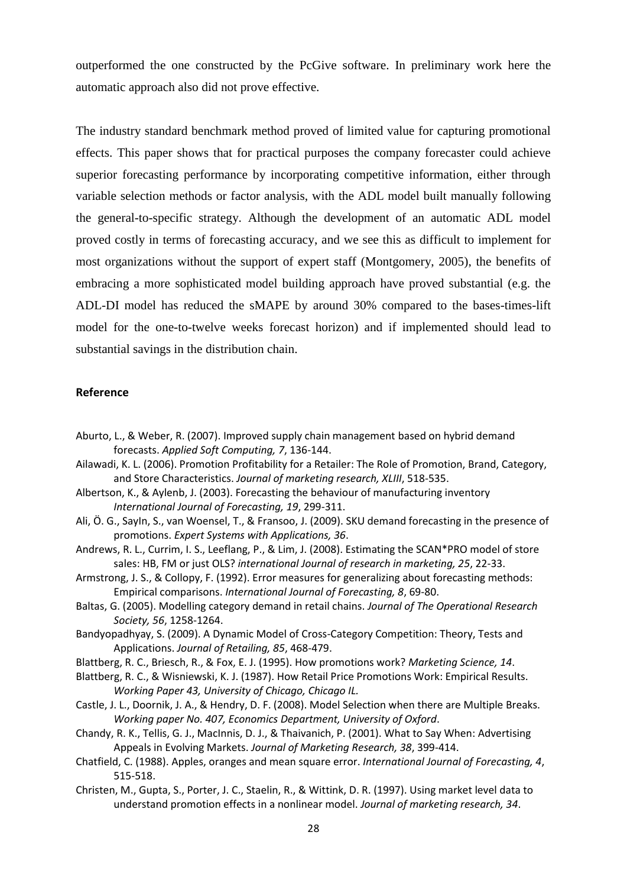outperformed the one constructed by the PcGive software. In preliminary work here the automatic approach also did not prove effective.

The industry standard benchmark method proved of limited value for capturing promotional effects. This paper shows that for practical purposes the company forecaster could achieve superior forecasting performance by incorporating competitive information, either through variable selection methods or factor analysis, with the ADL model built manually following the general-to-specific strategy. Although the development of an automatic ADL model proved costly in terms of forecasting accuracy, and we see this as difficult to implement for most organizations without the support of expert staff [\(Montgomery, 2005\)](#page-30-25), the benefits of embracing a more sophisticated model building approach have proved substantial (e.g. the ADL-DI model has reduced the sMAPE by around 30% compared to the bases-times-lift model for the one-to-twelve weeks forecast horizon) and if implemented should lead to substantial savings in the distribution chain.

# **Reference**

- <span id="page-28-6"></span>Aburto, L., & Weber, R. (2007). Improved supply chain management based on hybrid demand forecasts. *Applied Soft Computing, 7*, 136-144.
- <span id="page-28-5"></span>Ailawadi, K. L. (2006). Promotion Profitability for a Retailer: The Role of Promotion, Brand, Category, and Store Characteristics. *Journal of marketing research, XLIII*, 518-535.
- <span id="page-28-11"></span>Albertson, K., & Aylenb, J. (2003). Forecasting the behaviour of manufacturing inventory *International Journal of Forecasting, 19*, 299-311.
- <span id="page-28-0"></span>Ali, Ö. G., SayIn, S., van Woensel, T., & Fransoo, J. (2009). SKU demand forecasting in the presence of promotions. *Expert Systems with Applications, 36*.
- <span id="page-28-7"></span>Andrews, R. L., Currim, I. S., Leeflang, P., & Lim, J. (2008). Estimating the SCAN\*PRO model of store sales: HB, FM or just OLS? *international Journal of research in marketing, 25*, 22-33.
- <span id="page-28-13"></span>Armstrong, J. S., & Collopy, F. (1992). Error measures for generalizing about forecasting methods: Empirical comparisons. *International Journal of Forecasting, 8*, 69-80.
- <span id="page-28-4"></span>Baltas, G. (2005). Modelling category demand in retail chains. *Journal of The Operational Research Society, 56*, 1258-1264.
- <span id="page-28-8"></span>Bandyopadhyay, S. (2009). A Dynamic Model of Cross-Category Competition: Theory, Tests and Applications. *Journal of Retailing, 85*, 468-479.
- <span id="page-28-1"></span>Blattberg, R. C., Briesch, R., & Fox, E. J. (1995). How promotions work? *Marketing Science, 14*.
- <span id="page-28-9"></span>Blattberg, R. C., & Wisniewski, K. J. (1987). How Retail Price Promotions Work: Empirical Results. *Working Paper 43, University of Chicago, Chicago IL.*
- <span id="page-28-10"></span>Castle, J. L., Doornik, J. A., & Hendry, D. F. (2008). Model Selection when there are Multiple Breaks. *Working paper No. 407, Economics Department, University of Oxford*.
- <span id="page-28-3"></span>Chandy, R. K., Tellis, G. J., MacInnis, D. J., & Thaivanich, P. (2001). What to Say When: Advertising Appeals in Evolving Markets. *Journal of Marketing Research, 38*, 399-414.
- <span id="page-28-12"></span>Chatfield, C. (1988). Apples, oranges and mean square error. *International Journal of Forecasting, 4*, 515-518.
- <span id="page-28-2"></span>Christen, M., Gupta, S., Porter, J. C., Staelin, R., & Wittink, D. R. (1997). Using market level data to understand promotion effects in a nonlinear model. *Journal of marketing research, 34*.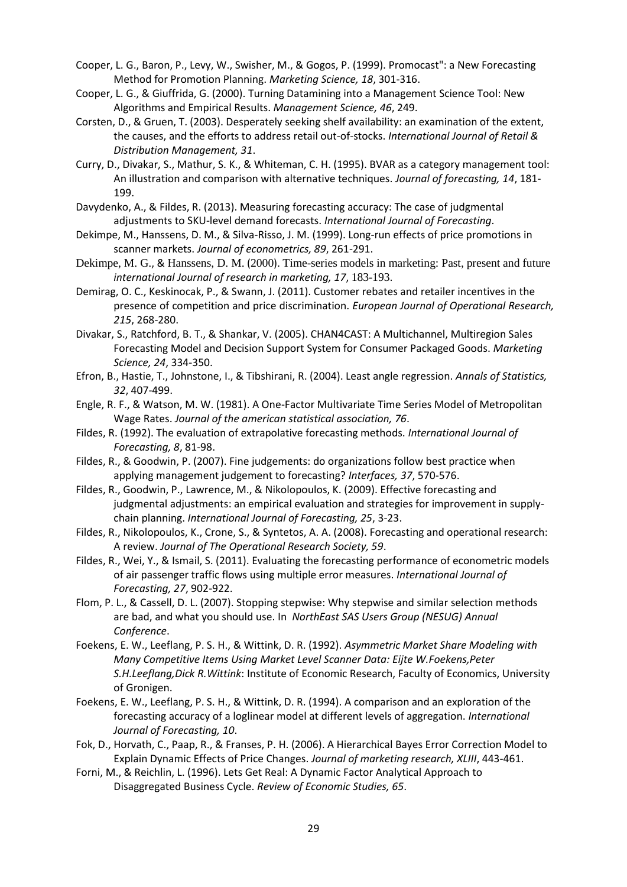- <span id="page-29-1"></span>Cooper, L. G., Baron, P., Levy, W., Swisher, M., & Gogos, P. (1999). Promocast": a New Forecasting Method for Promotion Planning. *Marketing Science, 18*, 301-316.
- <span id="page-29-10"></span>Cooper, L. G., & Giuffrida, G. (2000). Turning Datamining into a Management Science Tool: New Algorithms and Empirical Results. *Management Science, 46*, 249.
- <span id="page-29-0"></span>Corsten, D., & Gruen, T. (2003). Desperately seeking shelf availability: an examination of the extent, the causes, and the efforts to address retail out-of-stocks. *International Journal of Retail & Distribution Management, 31*.
- <span id="page-29-5"></span>Curry, D., Divakar, S., Mathur, S. K., & Whiteman, C. H. (1995). BVAR as a category management tool: An illustration and comparison with alternative techniques. *Journal of forecasting, 14*, 181- 199.
- <span id="page-29-19"></span>Davydenko, A., & Fildes, R. (2013). Measuring forecasting accuracy: The case of judgmental adjustments to SKU-level demand forecasts. *International Journal of Forecasting*.
- <span id="page-29-4"></span>Dekimpe, M., Hanssens, D. M., & Silva-Risso, J. M. (1999). Long-run effects of price promotions in scanner markets. *Journal of econometrics, 89*, 261-291.
- <span id="page-29-20"></span>Dekimpe, M. G., & Hanssens, D. M. (2000). Time-series models in marketing: Past, present and future *international Journal of research in marketing, 17*, 183-193.
- <span id="page-29-2"></span>Demirag, O. C., Keskinocak, P., & Swann, J. (2011). Customer rebates and retailer incentives in the presence of competition and price discrimination. *European Journal of Operational Research, 215*, 268-280.
- <span id="page-29-6"></span>Divakar, S., Ratchford, B. T., & Shankar, V. (2005). CHAN4CAST: A Multichannel, Multiregion Sales Forecasting Model and Decision Support System for Consumer Packaged Goods. *Marketing Science, 24*, 334-350.
- <span id="page-29-12"></span>Efron, B., Hastie, T., Johnstone, I., & Tibshirani, R. (2004). Least angle regression. *Annals of Statistics, 32*, 407-499.
- <span id="page-29-13"></span>Engle, R. F., & Watson, M. W. (1981). A One-Factor Multivariate Time Series Model of Metropolitan Wage Rates. *Journal of the american statistical association, 76*.
- <span id="page-29-17"></span>Fildes, R. (1992). The evaluation of extrapolative forecasting methods. *International Journal of Forecasting, 8*, 81-98.
- <span id="page-29-18"></span>Fildes, R., & Goodwin, P. (2007). Fine judgements: do organizations follow best practice when applying management judgement to forecasting? *Interfaces, 37*, 570-576.
- <span id="page-29-9"></span>Fildes, R., Goodwin, P., Lawrence, M., & Nikolopoulos, K. (2009). Effective forecasting and judgmental adjustments: an empirical evaluation and strategies for improvement in supplychain planning. *International Journal of Forecasting, 25*, 3-23.
- <span id="page-29-3"></span>Fildes, R., Nikolopoulos, K., Crone, S., & Syntetos, A. A. (2008). Forecasting and operational research: A review. *Journal of The Operational Research Society, 59*.
- <span id="page-29-15"></span>Fildes, R., Wei, Y., & Ismail, S. (2011). Evaluating the forecasting performance of econometric models of air passenger traffic flows using multiple error measures. *International Journal of Forecasting, 27*, 902-922.
- <span id="page-29-11"></span>Flom, P. L., & Cassell, D. L. (2007). Stopping stepwise: Why stepwise and similar selection methods are bad, and what you should use. In *NorthEast SAS Users Group (NESUG) Annual Conference*.
- <span id="page-29-7"></span>Foekens, E. W., Leeflang, P. S. H., & Wittink, D. R. (1992). *Asymmetric Market Share Modeling with Many Competitive Items Using Market Level Scanner Data: Eijte W.Foekens,Peter S.H.Leeflang,Dick R.Wittink*: Institute of Economic Research, Faculty of Economics, University of Gronigen.
- <span id="page-29-8"></span>Foekens, E. W., Leeflang, P. S. H., & Wittink, D. R. (1994). A comparison and an exploration of the forecasting accuracy of a loglinear model at different levels of aggregation. *International Journal of Forecasting, 10*.
- <span id="page-29-16"></span>Fok, D., Horvath, C., Paap, R., & Franses, P. H. (2006). A Hierarchical Bayes Error Correction Model to Explain Dynamic Effects of Price Changes. *Journal of marketing research, XLIII*, 443-461.
- <span id="page-29-14"></span>Forni, M., & Reichlin, L. (1996). Lets Get Real: A Dynamic Factor Analytical Approach to Disaggregated Business Cycle. *Review of Economic Studies, 65*.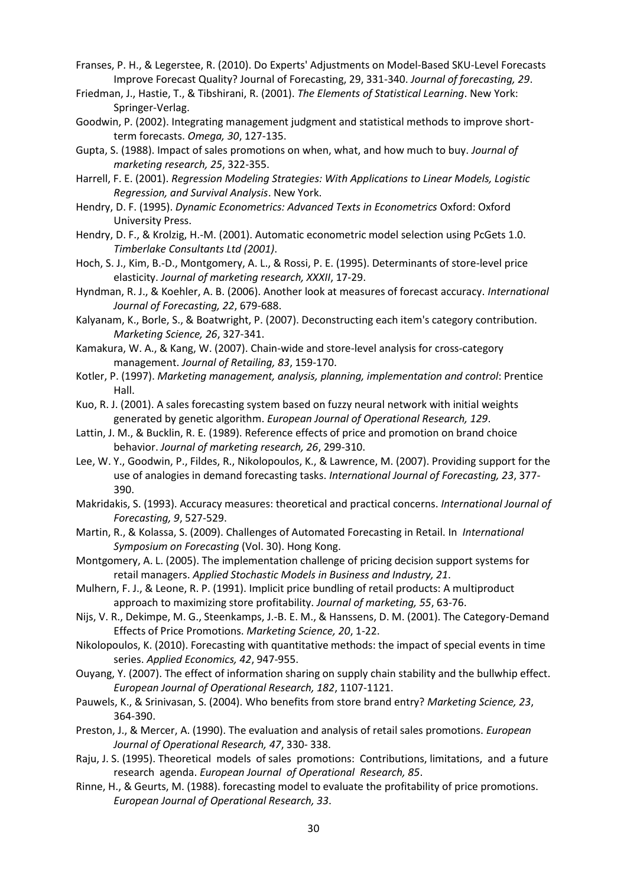- <span id="page-30-15"></span>Franses, P. H., & Legerstee, R. (2010). Do Experts' Adjustments on Model-Based SKU-Level Forecasts Improve Forecast Quality? Journal of Forecasting, 29, 331-340. *Journal of forecasting, 29*.
- <span id="page-30-19"></span>Friedman, J., Hastie, T., & Tibshirani, R. (2001). *The Elements of Statistical Learning*. New York: Springer-Verlag.
- <span id="page-30-8"></span>Goodwin, P. (2002). Integrating management judgment and statistical methods to improve shortterm forecasts. *Omega, 30*, 127-135.
- <span id="page-30-2"></span>Gupta, S. (1988). Impact of sales promotions on when, what, and how much to buy. *Journal of marketing research, 25*, 322-355.
- <span id="page-30-18"></span>Harrell, F. E. (2001). *Regression Modeling Strategies: With Applications to Linear Models, Logistic Regression, and Survival Analysis*. New York.
- <span id="page-30-20"></span>Hendry, D. F. (1995). *Dynamic Econometrics: Advanced Texts in Econometrics* Oxford: Oxford University Press.
- <span id="page-30-24"></span>Hendry, D. F., & Krolzig, H.-M. (2001). Automatic econometric model selection using PcGets 1.0. *Timberlake Consultants Ltd (2001)*.
- <span id="page-30-11"></span>Hoch, S. J., Kim, B.-D., Montgomery, A. L., & Rossi, P. E. (1995). Determinants of store-level price elasticity. *Journal of marketing research, XXXII*, 17-29.
- <span id="page-30-22"></span>Hyndman, R. J., & Koehler, A. B. (2006). Another look at measures of forecast accuracy. *International Journal of Forecasting, 22*, 679-688.
- <span id="page-30-0"></span>Kalyanam, K., Borle, S., & Boatwright, P. (2007). Deconstructing each item's category contribution. *Marketing Science, 26*, 327-341.
- <span id="page-30-6"></span>Kamakura, W. A., & Kang, W. (2007). Chain-wide and store-level analysis for cross-category management. *Journal of Retailing, 83*, 159-170.
- <span id="page-30-16"></span>Kotler, P. (1997). *Marketing management, analysis, planning, implementation and control*: Prentice Hall.
- <span id="page-30-1"></span>Kuo, R. J. (2001). A sales forecasting system based on fuzzy neural network with initial weights generated by genetic algorithm. *European Journal of Operational Research, 129*.
- <span id="page-30-3"></span>Lattin, J. M., & Bucklin, R. E. (1989). Reference effects of price and promotion on brand choice behavior. *Journal of marketing research, 26*, 299-310.
- <span id="page-30-9"></span>Lee, W. Y., Goodwin, P., Fildes, R., Nikolopoulos, K., & Lawrence, M. (2007). Providing support for the use of analogies in demand forecasting tasks. *International Journal of Forecasting, 23*, 377- 390.
- <span id="page-30-23"></span>Makridakis, S. (1993). Accuracy measures: theoretical and practical concerns. *International Journal of Forecasting, 9*, 527-529.
- <span id="page-30-17"></span>Martin, R., & Kolassa, S. (2009). Challenges of Automated Forecasting in Retail. In *International Symposium on Forecasting* (Vol. 30). Hong Kong.
- <span id="page-30-25"></span>Montgomery, A. L. (2005). The implementation challenge of pricing decision support systems for retail managers. *Applied Stochastic Models in Business and Industry, 21*.
- <span id="page-30-4"></span>Mulhern, F. J., & Leone, R. P. (1991). Implicit price bundling of retail products: A multiproduct approach to maximizing store profitability. *Journal of marketing, 55*, 63-76.
- <span id="page-30-5"></span>Nijs, V. R., Dekimpe, M. G., Steenkamps, J.-B. E. M., & Hanssens, D. M. (2001). The Category-Demand Effects of Price Promotions. *Marketing Science, 20*, 1-22.
- <span id="page-30-10"></span>Nikolopoulos, K. (2010). Forecasting with quantitative methods: the impact of special events in time series. *Applied Economics, 42*, 947-955.
- <span id="page-30-12"></span>Ouyang, Y. (2007). The effect of information sharing on supply chain stability and the bullwhip effect. *European Journal of Operational Research, 182*, 1107-1121.
- <span id="page-30-21"></span>Pauwels, K., & Srinivasan, S. (2004). Who benefits from store brand entry? *Marketing Science, 23*, 364-390.
- <span id="page-30-14"></span>Preston, J., & Mercer, A. (1990). The evaluation and analysis of retail sales promotions. *European Journal of Operational Research, 47*, 330- 338.
- <span id="page-30-7"></span>Raju, J. S. (1995). Theoretical models of sales promotions: Contributions, limitations, and a future research agenda. *European Journal of Operational Research, 85*.
- <span id="page-30-13"></span>Rinne, H., & Geurts, M. (1988). forecasting model to evaluate the profitability of price promotions. *European Journal of Operational Research, 33*.